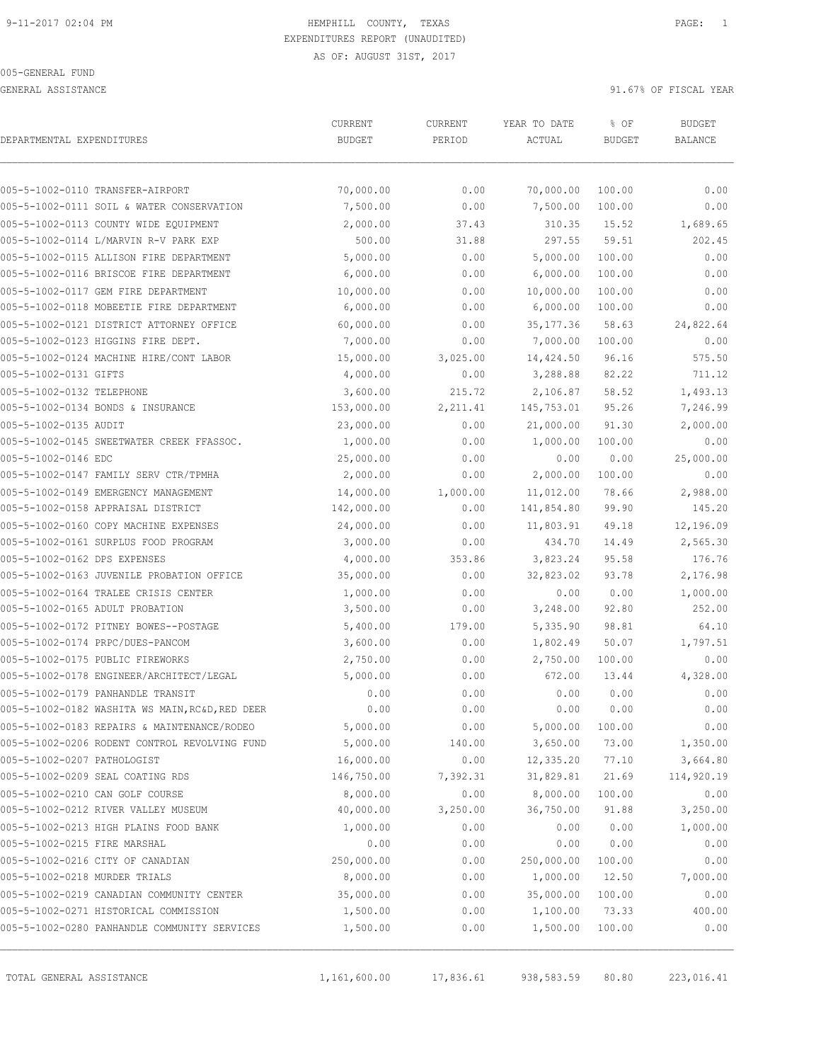GENERAL ASSISTANCE 31.67% OF FISCAL YEAR

| DEPARTMENTAL EXPENDITURES     |                                                                                 | CURRENT<br><b>BUDGET</b> | CURRENT<br>PERIOD | YEAR TO DATE<br>ACTUAL  | % OF<br><b>BUDGET</b> | <b>BUDGET</b><br><b>BALANCE</b> |
|-------------------------------|---------------------------------------------------------------------------------|--------------------------|-------------------|-------------------------|-----------------------|---------------------------------|
|                               | 005-5-1002-0110 TRANSFER-AIRPORT                                                | 70,000.00                | 0.00              | 70,000.00               | 100.00                | 0.00                            |
|                               | 005-5-1002-0111 SOIL & WATER CONSERVATION                                       | 7,500.00                 | 0.00              | 7,500.00                | 100.00                | 0.00                            |
|                               | 005-5-1002-0113 COUNTY WIDE EQUIPMENT                                           | 2,000.00                 | 37.43             | 310.35                  | 15.52                 | 1,689.65                        |
|                               | 005-5-1002-0114 L/MARVIN R-V PARK EXP                                           | 500.00                   | 31.88             | 297.55                  | 59.51                 | 202.45                          |
|                               | 005-5-1002-0115 ALLISON FIRE DEPARTMENT                                         | 5,000.00                 | 0.00              | 5,000.00                | 100.00                | 0.00                            |
|                               | 005-5-1002-0116 BRISCOE FIRE DEPARTMENT                                         | 6,000.00                 | 0.00              | 6,000.00                | 100.00                | 0.00                            |
|                               |                                                                                 |                          |                   |                         |                       |                                 |
|                               | 005-5-1002-0117 GEM FIRE DEPARTMENT<br>005-5-1002-0118 MOBEETIE FIRE DEPARTMENT | 10,000.00<br>6,000.00    | 0.00<br>0.00      | 10,000.00               | 100.00<br>100.00      | 0.00<br>0.00                    |
|                               |                                                                                 | 60,000.00                |                   | 6,000.00                |                       | 24,822.64                       |
|                               | 005-5-1002-0121 DISTRICT ATTORNEY OFFICE<br>005-5-1002-0123 HIGGINS FIRE DEPT.  | 7,000.00                 | 0.00<br>0.00      | 35, 177.36<br>7,000.00  | 58.63<br>100.00       | 0.00                            |
|                               | 005-5-1002-0124 MACHINE HIRE/CONT LABOR                                         |                          |                   |                         | 96.16                 |                                 |
| 005-5-1002-0131 GIFTS         |                                                                                 | 15,000.00                | 3,025.00<br>0.00  | 14,424.50               | 82.22                 | 575.50<br>711.12                |
| 005-5-1002-0132 TELEPHONE     |                                                                                 | 4,000.00                 |                   | 3,288.88                |                       |                                 |
|                               | 005-5-1002-0134 BONDS & INSURANCE                                               | 3,600.00                 | 215.72            | 2,106.87                | 58.52<br>95.26        | 1,493.13<br>7,246.99            |
| 005-5-1002-0135 AUDIT         |                                                                                 | 153,000.00<br>23,000.00  | 2,211.41<br>0.00  | 145,753.01<br>21,000.00 | 91.30                 | 2,000.00                        |
|                               | 005-5-1002-0145 SWEETWATER CREEK FFASSOC.                                       | 1,000.00                 | 0.00              | 1,000.00                | 100.00                | 0.00                            |
| 005-5-1002-0146 EDC           |                                                                                 | 25,000.00                | 0.00              | 0.00                    | 0.00                  | 25,000.00                       |
|                               | 005-5-1002-0147 FAMILY SERV CTR/TPMHA                                           | 2,000.00                 | 0.00              | 2,000.00                | 100.00                | 0.00                            |
|                               | 005-5-1002-0149 EMERGENCY MANAGEMENT                                            | 14,000.00                |                   | 11,012.00               |                       | 2,988.00                        |
|                               | 005-5-1002-0158 APPRAISAL DISTRICT                                              | 142,000.00               | 1,000.00<br>0.00  | 141,854.80              | 78.66<br>99.90        | 145.20                          |
|                               | 005-5-1002-0160 COPY MACHINE EXPENSES                                           | 24,000.00                | 0.00              | 11,803.91               | 49.18                 | 12,196.09                       |
|                               | 005-5-1002-0161 SURPLUS FOOD PROGRAM                                            | 3,000.00                 | 0.00              | 434.70                  | 14.49                 | 2,565.30                        |
| 005-5-1002-0162 DPS EXPENSES  |                                                                                 | 4,000.00                 | 353.86            | 3,823.24                | 95.58                 | 176.76                          |
|                               | 005-5-1002-0163 JUVENILE PROBATION OFFICE                                       | 35,000.00                | 0.00              | 32,823.02               | 93.78                 | 2,176.98                        |
|                               | 005-5-1002-0164 TRALEE CRISIS CENTER                                            | 1,000.00                 | 0.00              | 0.00                    | 0.00                  | 1,000.00                        |
|                               | 005-5-1002-0165 ADULT PROBATION                                                 | 3,500.00                 | 0.00              | 3,248.00                | 92.80                 | 252.00                          |
|                               | 005-5-1002-0172 PITNEY BOWES--POSTAGE                                           | 5,400.00                 | 179.00            | 5,335.90                | 98.81                 | 64.10                           |
|                               | 005-5-1002-0174 PRPC/DUES-PANCOM                                                | 3,600.00                 | 0.00              | 1,802.49                | 50.07                 | 1,797.51                        |
|                               | 005-5-1002-0175 PUBLIC FIREWORKS                                                | 2,750.00                 | 0.00              | 2,750.00                | 100.00                | 0.00                            |
|                               | 005-5-1002-0178 ENGINEER/ARCHITECT/LEGAL                                        | 5,000.00                 | 0.00              | 672.00                  | 13.44                 | 4,328.00                        |
|                               | 005-5-1002-0179 PANHANDLE TRANSIT                                               | 0.00                     | 0.00              | 0.00                    | 0.00                  | 0.00                            |
|                               | 005-5-1002-0182 WASHITA WS MAIN, RC&D, RED DEER                                 | 0.00                     | 0.00              | 0.00                    | 0.00                  | 0.00                            |
|                               | 005-5-1002-0183 REPAIRS & MAINTENANCE/RODEO                                     | 5,000.00                 | 0.00              | 5,000.00                | 100.00                | 0.00                            |
|                               | 005-5-1002-0206 RODENT CONTROL REVOLVING FUND                                   | 5,000.00                 | 140.00            | 3,650.00                | 73.00                 | 1,350.00                        |
| 005-5-1002-0207 PATHOLOGIST   |                                                                                 | 16,000.00                | 0.00              | 12,335.20               | 77.10                 | 3,664.80                        |
|                               | 005-5-1002-0209 SEAL COATING RDS                                                | 146,750.00               | 7,392.31          | 31,829.81               | 21.69                 | 114,920.19                      |
|                               | 005-5-1002-0210 CAN GOLF COURSE                                                 | 8,000.00                 | 0.00              | 8,000.00                | 100.00                | 0.00                            |
|                               | 005-5-1002-0212 RIVER VALLEY MUSEUM                                             | 40,000.00                | 3,250.00          | 36,750.00               | 91.88                 | 3,250.00                        |
|                               | 005-5-1002-0213 HIGH PLAINS FOOD BANK                                           | 1,000.00                 | 0.00              | 0.00                    | 0.00                  | 1,000.00                        |
| 005-5-1002-0215 FIRE MARSHAL  |                                                                                 | 0.00                     | 0.00              | 0.00                    | 0.00                  | 0.00                            |
|                               | 005-5-1002-0216 CITY OF CANADIAN                                                | 250,000.00               | 0.00              | 250,000.00              | 100.00                | 0.00                            |
| 005-5-1002-0218 MURDER TRIALS |                                                                                 | 8,000.00                 | 0.00              | 1,000.00                | 12.50                 | 7,000.00                        |
|                               | 005-5-1002-0219 CANADIAN COMMUNITY CENTER                                       | 35,000.00                | 0.00              | 35,000.00               | 100.00                | 0.00                            |
|                               | 005-5-1002-0271 HISTORICAL COMMISSION                                           | 1,500.00                 | 0.00              | 1,100.00                | 73.33                 | 400.00                          |
|                               | 005-5-1002-0280 PANHANDLE COMMUNITY SERVICES                                    | 1,500.00                 | 0.00              | 1,500.00                | 100.00                | 0.00                            |
|                               |                                                                                 |                          |                   |                         |                       |                                 |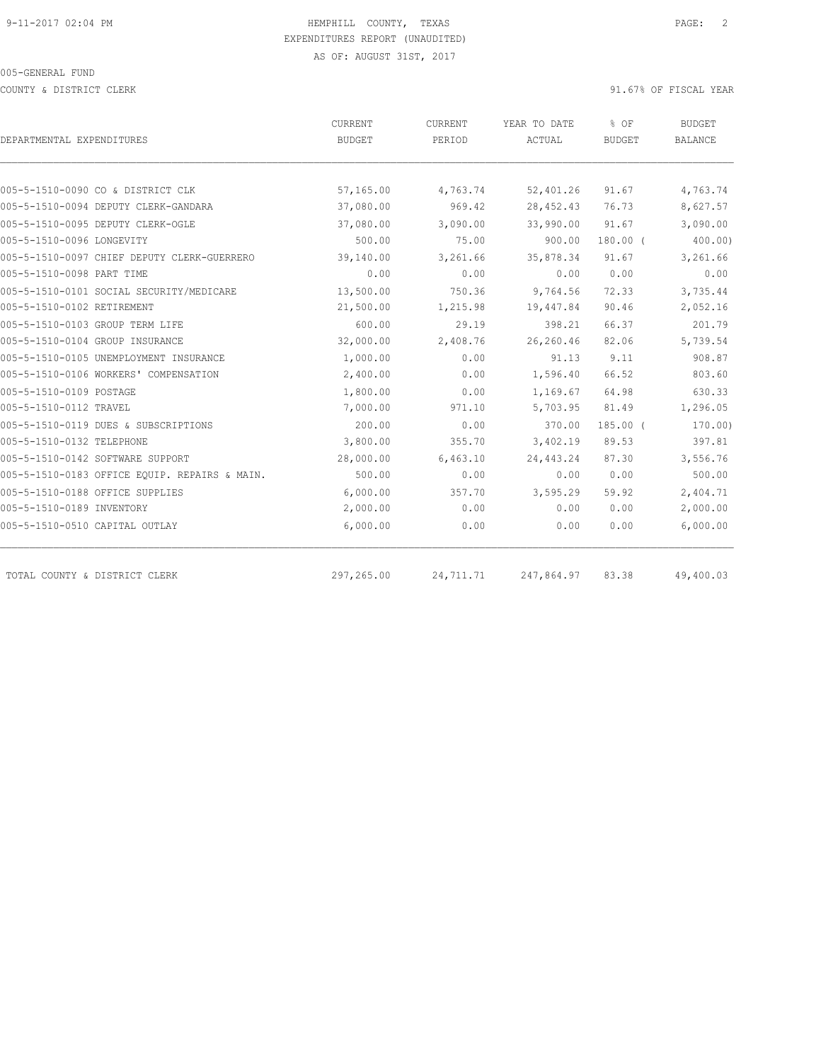COUNTY & DISTRICT CLERK 91.67% OF FISCAL YEAR

| CURRENT       | CURRENT    | YEAR TO DATE | % OF          | <b>BUDGET</b>  |
|---------------|------------|--------------|---------------|----------------|
| <b>BUDGET</b> | PERIOD     | ACTUAL       | <b>BUDGET</b> | <b>BALANCE</b> |
|               |            |              |               |                |
| 57,165.00     | 4,763.74   | 52,401.26    | 91.67         | 4,763.74       |
| 37,080.00     | 969.42     | 28, 452.43   | 76.73         | 8,627.57       |
| 37,080.00     | 3,090.00   | 33,990.00    | 91.67         | 3,090.00       |
| 500.00        | 75.00      | 900.00       | $180.00$ (    | 400.00)        |
| 39,140.00     | 3,261.66   | 35,878.34    | 91.67         | 3,261.66       |
| 0.00          | 0.00       | 0.00         | 0.00          | 0.00           |
| 13,500.00     | 750.36     | 9,764.56     | 72.33         | 3,735.44       |
| 21,500.00     | 1,215.98   | 19,447.84    | 90.46         | 2,052.16       |
| 600.00        | 29.19      | 398.21       | 66.37         | 201.79         |
| 32,000.00     | 2,408.76   | 26,260.46    | 82.06         | 5,739.54       |
| 1,000.00      | 0.00       | 91.13        | 9.11          | 908.87         |
| 2,400.00      | 0.00       | 1,596.40     | 66.52         | 803.60         |
| 1,800.00      | 0.00       | 1,169.67     | 64.98         | 630.33         |
| 7,000.00      | 971.10     | 5,703.95     | 81.49         | 1,296.05       |
| 200.00        | 0.00       | 370.00       | $185.00$ (    | 170.00         |
| 3,800.00      | 355.70     | 3,402.19     | 89.53         | 397.81         |
| 28,000.00     | 6,463.10   | 24, 443.24   | 87.30         | 3,556.76       |
| 500.00        | 0.00       | 0.00         | 0.00          | 500.00         |
| 6,000.00      | 357.70     | 3,595.29     | 59.92         | 2,404.71       |
| 2,000.00      | 0.00       | 0.00         | 0.00          | 2,000.00       |
| 6,000.00      | 0.00       | 0.00         | 0.00          | 6,000.00       |
|               |            |              |               | 49,400.03      |
|               | 297,265.00 | 24,711.71    | 247,864.97    | 83.38          |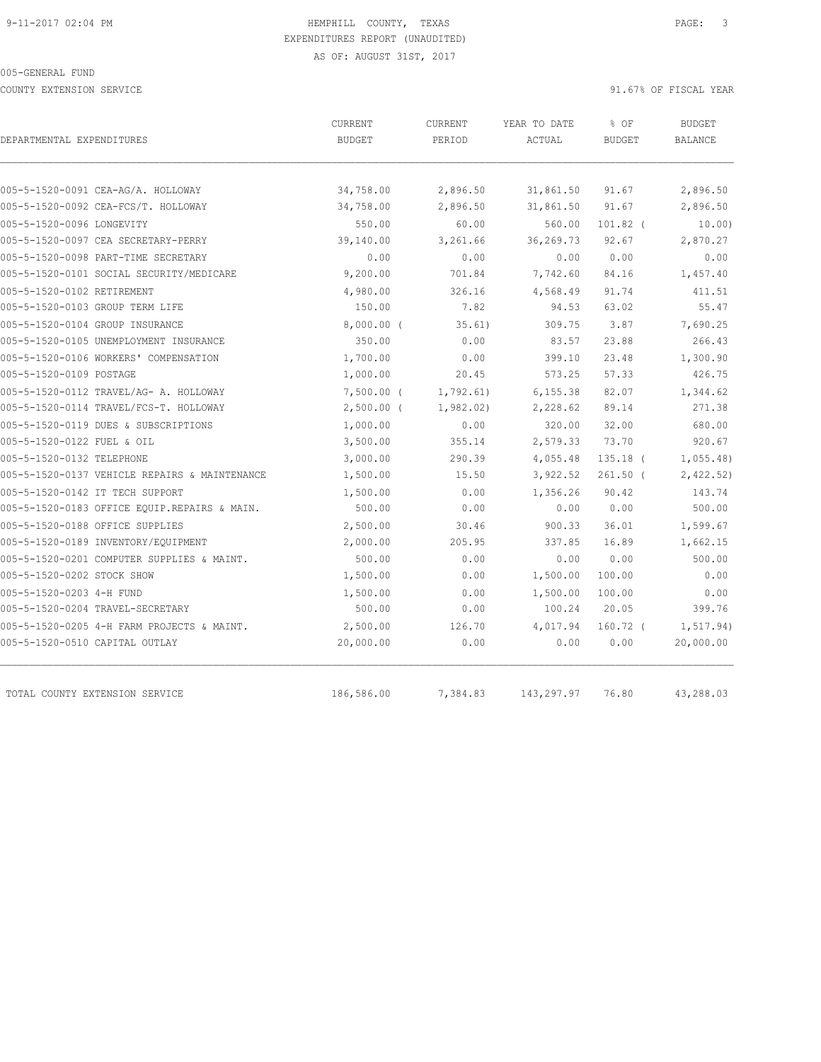COUNTY EXTENSION SERVICE 91.67% OF FISCAL YEAR

| DEPARTMENTAL EXPENDITURES                     | CURRENT<br><b>BUDGET</b> | <b>CURRENT</b><br>PERIOD | YEAR TO DATE<br>ACTUAL | % OF<br><b>BUDGET</b> | <b>BUDGET</b><br>BALANCE |
|-----------------------------------------------|--------------------------|--------------------------|------------------------|-----------------------|--------------------------|
|                                               |                          |                          |                        |                       |                          |
| 005-5-1520-0091 CEA-AG/A. HOLLOWAY            | 34,758.00                | 2,896.50                 | 31,861.50              | 91.67                 | 2,896.50                 |
| 005-5-1520-0092 CEA-FCS/T. HOLLOWAY           | 34,758.00                | 2,896.50                 | 31,861.50              | 91.67                 | 2,896.50                 |
| 005-5-1520-0096 LONGEVITY                     | 550.00                   | 60.00                    | 560.00                 | $101.82$ (            | 10.00                    |
| 005-5-1520-0097 CEA SECRETARY-PERRY           | 39,140.00                | 3,261.66                 | 36,269.73              | 92.67                 | 2,870.27                 |
| 005-5-1520-0098 PART-TIME SECRETARY           | 0.00                     | 0.00                     | 0.00                   | 0.00                  | 0.00                     |
| 005-5-1520-0101 SOCIAL SECURITY/MEDICARE      | 9,200.00                 | 701.84                   | 7,742.60               | 84.16                 | 1,457.40                 |
| 005-5-1520-0102 RETIREMENT                    | 4,980.00                 | 326.16                   | 4,568.49               | 91.74                 | 411.51                   |
| 005-5-1520-0103 GROUP TERM LIFE               | 150.00                   | 7.82                     | 94.53                  | 63.02                 | 55.47                    |
| 005-5-1520-0104 GROUP INSURANCE               | $8,000.00$ (             | 35.61)                   | 309.75                 | 3.87                  | 7,690.25                 |
| 005-5-1520-0105 UNEMPLOYMENT INSURANCE        | 350.00                   | 0.00                     | 83.57                  | 23.88                 | 266.43                   |
| 005-5-1520-0106 WORKERS' COMPENSATION         | 1,700.00                 | 0.00                     | 399.10                 | 23.48                 | 1,300.90                 |
| 005-5-1520-0109 POSTAGE                       | 1,000.00                 | 20.45                    | 573.25                 | 57.33                 | 426.75                   |
| 005-5-1520-0112 TRAVEL/AG- A. HOLLOWAY        | $7,500.00$ (             | 1,792.61)                | 6, 155.38              | 82.07                 | 1,344.62                 |
| 005-5-1520-0114 TRAVEL/FCS-T. HOLLOWAY        | $2,500.00$ (             | 1,982.02)                | 2,228.62               | 89.14                 | 271.38                   |
| 005-5-1520-0119 DUES & SUBSCRIPTIONS          | 1,000.00                 | 0.00                     | 320.00                 | 32.00                 | 680.00                   |
| 005-5-1520-0122 FUEL & OIL                    | 3,500.00                 | 355.14                   | 2,579.33               | 73.70                 | 920.67                   |
| 005-5-1520-0132 TELEPHONE                     | 3,000.00                 | 290.39                   | 4,055.48               | $135.18$ (            | 1,055.48                 |
| 005-5-1520-0137 VEHICLE REPAIRS & MAINTENANCE | 1,500.00                 | 15.50                    | 3,922.52               | $261.50$ (            | 2,422.52)                |
| 005-5-1520-0142 IT TECH SUPPORT               | 1,500.00                 | 0.00                     | 1,356.26               | 90.42                 | 143.74                   |
| 005-5-1520-0183 OFFICE EQUIP.REPAIRS & MAIN.  | 500.00                   | 0.00                     | 0.00                   | 0.00                  | 500.00                   |
| 005-5-1520-0188 OFFICE SUPPLIES               | 2,500.00                 | 30.46                    | 900.33                 | 36.01                 | 1,599.67                 |
| 005-5-1520-0189 INVENTORY/EOUIPMENT           | 2,000.00                 | 205.95                   | 337.85                 | 16.89                 | 1,662.15                 |
| 005-5-1520-0201 COMPUTER SUPPLIES & MAINT.    | 500.00                   | 0.00                     | 0.00                   | 0.00                  | 500.00                   |
| 005-5-1520-0202 STOCK SHOW                    | 1,500.00                 | 0.00                     | 1,500.00               | 100.00                | 0.00                     |
| 005-5-1520-0203 4-H FUND                      | 1,500.00                 | 0.00                     | 1,500.00               | 100.00                | 0.00                     |
| 005-5-1520-0204 TRAVEL-SECRETARY              | 500.00                   | 0.00                     | 100.24                 | 20.05                 | 399.76                   |
| 005-5-1520-0205 4-H FARM PROJECTS & MAINT.    | 2,500.00                 | 126.70                   | 4,017.94               | $160.72$ (            | 1,517.94)                |
| 005-5-1520-0510 CAPITAL OUTLAY                | 20,000.00                | 0.00                     | 0.00                   | 0.00                  | 20,000.00                |
| TOTAL COUNTY EXTENSION SERVICE                | 186,586.00               | 7,384.83                 | 143,297.97             | 76.80                 | 43,288.03                |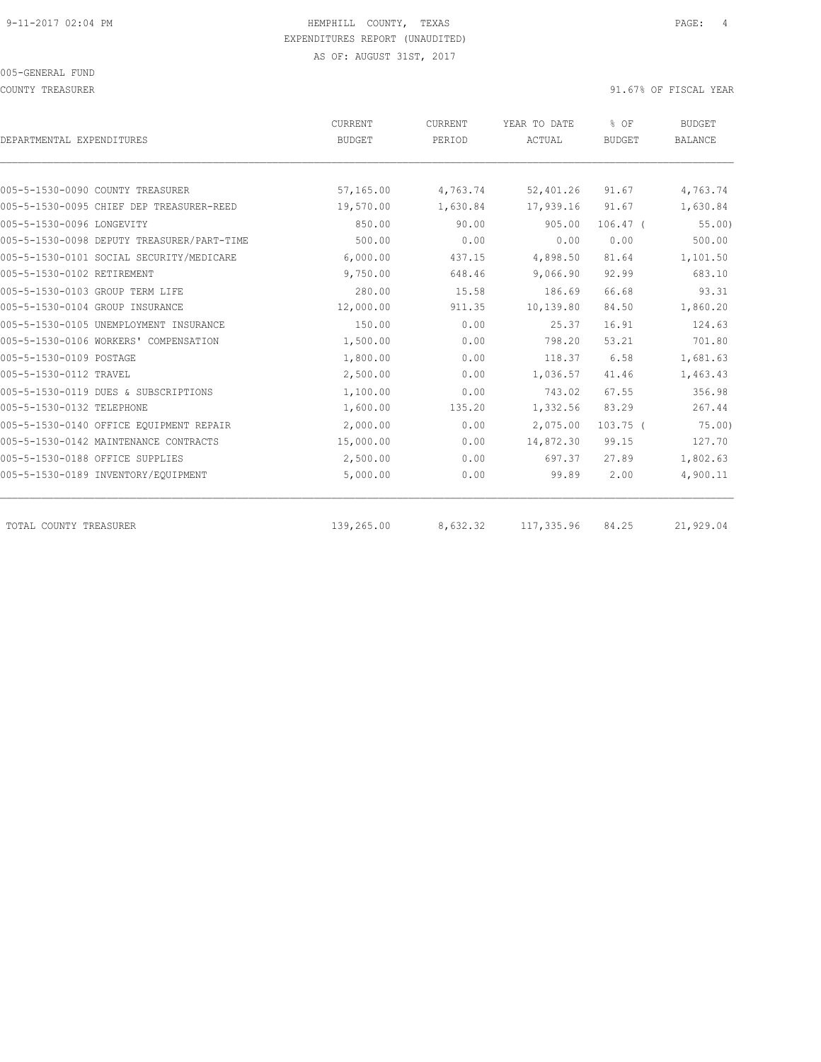COUNTY TREASURER SERVICES AND THE SERVICE OF THE SERVICE OF SERVICES AND THE SERVICE OF SERVICE OF SERVICE OF SERVICE OF SERVICE OF SERVICE OF SERVICE OF SERVICE OF SERVICE OF SERVICE OF SERVICE OF SERVICE OF SERVICE OF SE

|                                            | <b>CURRENT</b> | <b>CURRENT</b> | YEAR TO DATE | % OF          | <b>BUDGET</b>  |
|--------------------------------------------|----------------|----------------|--------------|---------------|----------------|
| DEPARTMENTAL EXPENDITURES                  | <b>BUDGET</b>  | PERIOD         | ACTUAL       | <b>BUDGET</b> | <b>BALANCE</b> |
| 005-5-1530-0090 COUNTY TREASURER           | 57,165.00      | 4,763.74       | 52,401.26    | 91.67         | 4,763.74       |
| 005-5-1530-0095 CHIEF DEP TREASURER-REED   | 19,570.00      | 1,630.84       | 17,939.16    | 91.67         | 1,630.84       |
| 005-5-1530-0096 LONGEVITY                  | 850.00         | 90.00          | 905.00       | $106.47$ (    | 55.00          |
| 005-5-1530-0098 DEPUTY TREASURER/PART-TIME | 500.00         | 0.00           | 0.00         | 0.00          | 500.00         |
| 005-5-1530-0101 SOCIAL SECURITY/MEDICARE   | 6,000.00       | 437.15         | 4,898.50     | 81.64         | 1,101.50       |
| 005-5-1530-0102 RETIREMENT                 | 9,750.00       | 648.46         | 9,066.90     | 92.99         | 683.10         |
| 005-5-1530-0103 GROUP TERM LIFE            | 280.00         | 15.58          | 186.69       | 66.68         | 93.31          |
| 005-5-1530-0104 GROUP INSURANCE            | 12,000.00      | 911.35         | 10,139.80    | 84.50         | 1,860.20       |
| 005-5-1530-0105 UNEMPLOYMENT INSURANCE     | 150.00         | 0.00           | 25.37        | 16.91         | 124.63         |
| 005-5-1530-0106 WORKERS' COMPENSATION      | 1,500.00       | 0.00           | 798.20       | 53.21         | 701.80         |
| 005-5-1530-0109 POSTAGE                    | 1,800.00       | 0.00           | 118.37       | 6.58          | 1,681.63       |
| 005-5-1530-0112 TRAVEL                     | 2,500.00       | 0.00           | 1,036.57     | 41.46         | 1,463.43       |
| 005-5-1530-0119 DUES & SUBSCRIPTIONS       | 1,100.00       | 0.00           | 743.02       | 67.55         | 356.98         |
| 005-5-1530-0132 TELEPHONE                  | 1,600.00       | 135.20         | 1,332.56     | 83.29         | 267.44         |
| 005-5-1530-0140 OFFICE EQUIPMENT REPAIR    | 2,000.00       | 0.00           | 2,075.00     | $103.75$ (    | 75.00          |
| 005-5-1530-0142 MAINTENANCE CONTRACTS      | 15,000.00      | 0.00           | 14,872.30    | 99.15         | 127.70         |
| 005-5-1530-0188 OFFICE SUPPLIES            | 2,500.00       | 0.00           | 697.37       | 27.89         | 1,802.63       |
| 005-5-1530-0189 INVENTORY/EQUIPMENT        | 5,000.00       | 0.00           | 99.89        | 2.00          | 4,900.11       |
| TOTAL COUNTY TREASURER                     | 139,265.00     | 8,632.32       | 117,335.96   | 84.25         | 21,929.04      |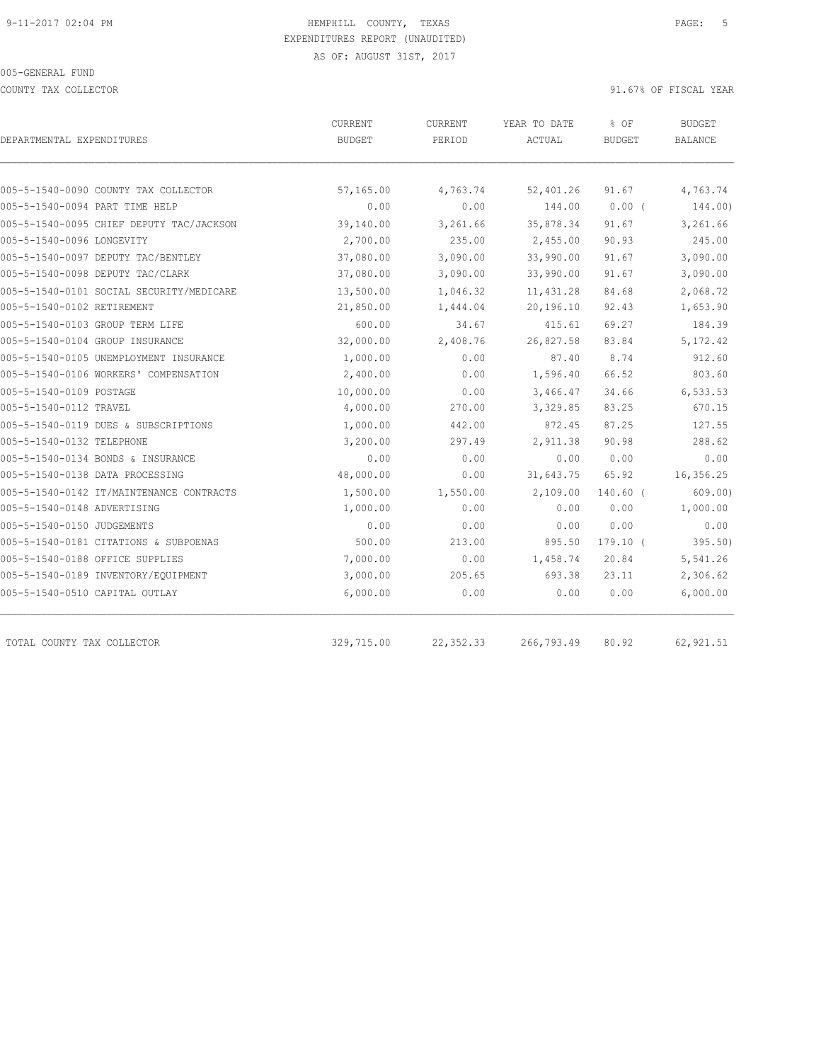COUNTY TAX COLLECTOR **EXECUTE:** 91.67% OF FISCAL YEAR

| DEPARTMENTAL EXPENDITURES                | <b>CURRENT</b><br><b>BUDGET</b> | CURRENT<br>PERIOD | YEAR TO DATE<br>ACTUAL | % OF<br><b>BUDGET</b> | BUDGET<br>BALANCE |
|------------------------------------------|---------------------------------|-------------------|------------------------|-----------------------|-------------------|
| 005-5-1540-0090 COUNTY TAX COLLECTOR     | 57,165.00                       | 4,763.74          | 52,401.26              | 91.67                 | 4,763.74          |
| 005-5-1540-0094 PART TIME HELP           | 0.00                            | 0.00              | 144.00                 | $0.00$ (              | 144.00)           |
| 005-5-1540-0095 CHIEF DEPUTY TAC/JACKSON | 39,140.00                       | 3,261.66          | 35,878.34              | 91.67                 | 3,261.66          |
| 005-5-1540-0096 LONGEVITY                | 2,700.00                        | 235.00            | 2,455.00               | 90.93                 | 245.00            |
| 005-5-1540-0097 DEPUTY TAC/BENTLEY       | 37,080.00                       | 3,090.00          | 33,990.00              | 91.67                 | 3,090.00          |
| 005-5-1540-0098 DEPUTY TAC/CLARK         | 37,080.00                       | 3,090.00          | 33,990.00              | 91.67                 | 3,090.00          |
| 005-5-1540-0101 SOCIAL SECURITY/MEDICARE | 13,500.00                       | 1,046.32          | 11, 431.28             | 84.68                 | 2,068.72          |
| 005-5-1540-0102 RETIREMENT               | 21,850.00                       | 1,444.04          | 20,196.10              | 92.43                 | 1,653.90          |
| 005-5-1540-0103 GROUP TERM LIFE          | 600.00                          | 34.67             | 415.61                 | 69.27                 | 184.39            |
| 005-5-1540-0104 GROUP INSURANCE          | 32,000.00                       | 2,408.76          | 26,827.58              | 83.84                 | 5,172.42          |
| 005-5-1540-0105 UNEMPLOYMENT INSURANCE   | 1,000.00                        | 0.00              | 87.40                  | 8.74                  | 912.60            |
| 005-5-1540-0106 WORKERS' COMPENSATION    | 2,400.00                        | 0.00              | 1,596.40               | 66.52                 | 803.60            |
| 005-5-1540-0109 POSTAGE                  | 10,000.00                       | 0.00              | 3,466.47               | 34.66                 | 6,533.53          |
| 005-5-1540-0112 TRAVEL                   | 4,000.00                        | 270.00            | 3,329.85               | 83.25                 | 670.15            |
| 005-5-1540-0119 DUES & SUBSCRIPTIONS     | 1,000.00                        | 442.00            | 872.45                 | 87.25                 | 127.55            |
| 005-5-1540-0132 TELEPHONE                | 3,200.00                        | 297.49            | 2,911.38               | 90.98                 | 288.62            |
| 005-5-1540-0134 BONDS & INSURANCE        | 0.00                            | 0.00              | 0.00                   | 0.00                  | 0.00              |
| 005-5-1540-0138 DATA PROCESSING          | 48,000.00                       | 0.00              | 31,643.75              | 65.92                 | 16,356.25         |
| 005-5-1540-0142 IT/MAINTENANCE CONTRACTS | 1,500.00                        | 1,550.00          | 2,109.00               | $140.60$ (            | 609.00            |
| 005-5-1540-0148 ADVERTISING              | 1,000.00                        | 0.00              | 0.00                   | 0.00                  | 1,000.00          |
| 005-5-1540-0150 JUDGEMENTS               | 0.00                            | 0.00              | 0.00                   | 0.00                  | 0.00              |
| 005-5-1540-0181 CITATIONS & SUBPOENAS    | 500.00                          | 213.00            | 895.50                 | $179.10$ (            | 395.50)           |
| 005-5-1540-0188 OFFICE SUPPLIES          | 7,000.00                        | 0.00              | 1,458.74               | 20.84                 | 5,541.26          |
| 005-5-1540-0189 INVENTORY/EQUIPMENT      | 3,000.00                        | 205.65            | 693.38                 | 23.11                 | 2,306.62          |
| 005-5-1540-0510 CAPITAL OUTLAY           | 6,000.00                        | 0.00              | 0.00                   | 0.00                  | 6,000.00          |
| TOTAL COUNTY TAX COLLECTOR               | 329,715.00                      | 22, 352.33        | 266,793.49             | 80.92                 | 62,921.51         |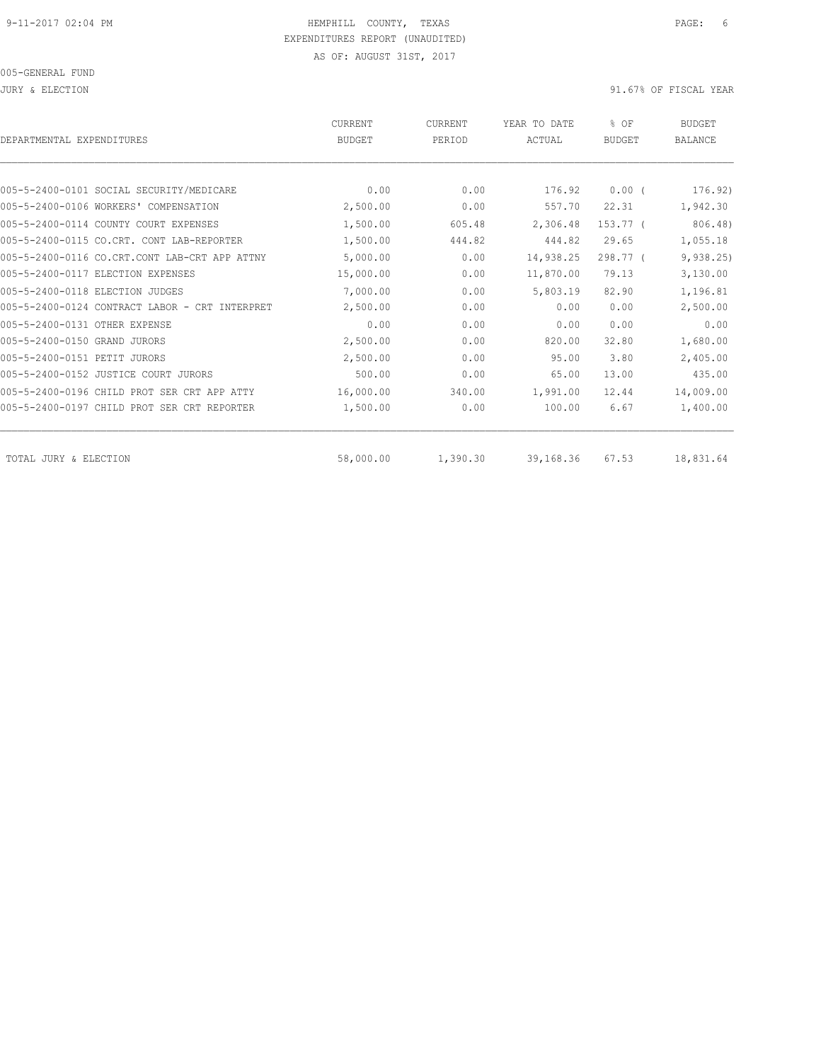JURY & ELECTION 91.67% OF FISCAL YEAR

| DEPARTMENTAL EXPENDITURES                      | CURRENT<br><b>BUDGET</b> | CURRENT<br>PERIOD | YEAR TO DATE<br>ACTUAL | % OF<br><b>BUDGET</b> | <b>BUDGET</b><br><b>BALANCE</b> |
|------------------------------------------------|--------------------------|-------------------|------------------------|-----------------------|---------------------------------|
|                                                |                          |                   |                        |                       |                                 |
| 005-5-2400-0101 SOCIAL SECURITY/MEDICARE       | 0.00                     | 0.00              | 176.92                 | 0.00(                 | 176.92)                         |
| 005-5-2400-0106 WORKERS' COMPENSATION          | 2,500.00                 | 0.00              | 557.70                 | 22.31                 | 1,942.30                        |
| 005-5-2400-0114 COUNTY COURT EXPENSES          | 1,500.00                 | 605.48            | 2,306.48               | $153.77-1$            | 806.48)                         |
| 005-5-2400-0115 CO.CRT. CONT LAB-REPORTER      | 1,500.00                 | 444.82            | 444.82                 | 29.65                 | 1,055.18                        |
| 005-5-2400-0116 CO.CRT.CONT LAB-CRT APP ATTNY  | 5,000.00                 | 0.00              | 14,938.25              | $298.77$ (            | 9,938.25                        |
| 005-5-2400-0117 ELECTION EXPENSES              | 15,000.00                | 0.00              | 11,870.00              | 79.13                 | 3,130.00                        |
| 005-5-2400-0118 ELECTION JUDGES                | 7,000.00                 | 0.00              | 5,803.19               | 82.90                 | 1,196.81                        |
| 005-5-2400-0124 CONTRACT LABOR - CRT INTERPRET | 2,500.00                 | 0.00              | 0.00                   | 0.00                  | 2,500.00                        |
| 005-5-2400-0131 OTHER EXPENSE                  | 0.00                     | 0.00              | 0.00                   | 0.00                  | 0.00                            |
| 005-5-2400-0150 GRAND JURORS                   | 2,500.00                 | 0.00              | 820.00                 | 32.80                 | 1,680.00                        |
| 005-5-2400-0151 PETIT JURORS                   | 2,500.00                 | 0.00              | 95.00                  | 3.80                  | 2,405.00                        |
| 005-5-2400-0152 JUSTICE COURT JURORS           | 500.00                   | 0.00              | 65.00                  | 13.00                 | 435.00                          |
| 005-5-2400-0196 CHILD PROT SER CRT APP ATTY    | 16,000.00                | 340.00            | 1,991.00               | 12.44                 | 14,009.00                       |
| 005-5-2400-0197 CHILD PROT SER CRT REPORTER    | 1,500.00                 | 0.00              | 100.00                 | 6.67                  | 1,400.00                        |
| TOTAL JURY & ELECTION                          | 58,000.00                | 1,390.30          | 39,168.36              | 67.53                 | 18,831.64                       |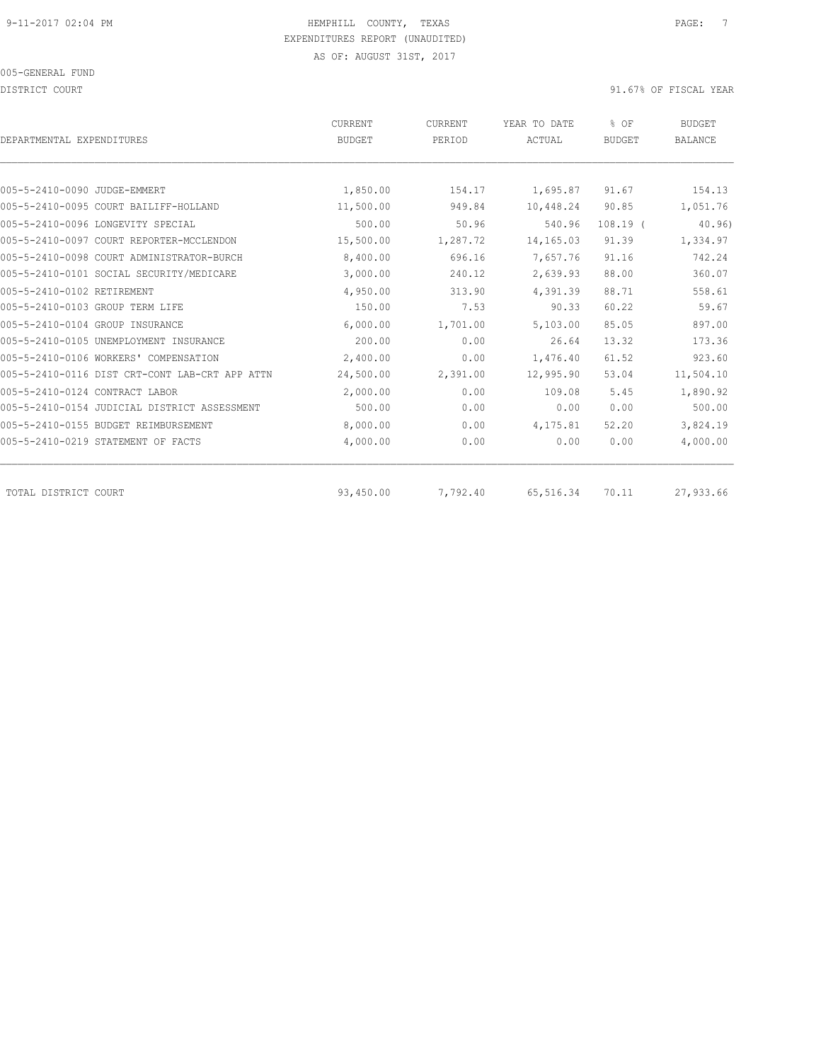DISTRICT COURT COURT COURT COURT COURT COURT COURT COURT COURT COURT OF FISCAL YEAR OF FISCAL YEAR

| DEPARTMENTAL EXPENDITURES      |                                                | CURRENT<br><b>BUDGET</b> | CURRENT<br>PERIOD | YEAR TO DATE<br>ACTUAL | % OF<br><b>BUDGET</b> | BUDGET<br><b>BALANCE</b> |
|--------------------------------|------------------------------------------------|--------------------------|-------------------|------------------------|-----------------------|--------------------------|
|                                |                                                |                          |                   |                        |                       |                          |
| 005-5-2410-0090 JUDGE-EMMERT   |                                                | 1,850.00                 | 154.17            | 1,695.87               | 91.67                 | 154.13                   |
|                                | 005-5-2410-0095 COURT BAILIFF-HOLLAND          | 11,500.00                | 949.84            | 10,448.24              | 90.85                 | 1,051.76                 |
|                                | 005-5-2410-0096 LONGEVITY SPECIAL              | 500.00                   | 50.96             | 540.96                 | $108.19$ (            | 40.96                    |
|                                | 005-5-2410-0097 COURT REPORTER-MCCLENDON       | 15,500.00                | 1,287.72          | 14,165.03              | 91.39                 | 1,334.97                 |
|                                | 005-5-2410-0098 COURT ADMINISTRATOR-BURCH      | 8,400.00                 | 696.16            | 7,657.76               | 91.16                 | 742.24                   |
|                                | 005-5-2410-0101 SOCIAL SECURITY/MEDICARE       | 3,000.00                 | 240.12            | 2,639.93               | 88.00                 | 360.07                   |
| 005-5-2410-0102 RETIREMENT     |                                                | 4,950.00                 | 313.90            | 4,391.39               | 88.71                 | 558.61                   |
|                                | 005-5-2410-0103 GROUP TERM LIFE                | 150.00                   | 7.53              | 90.33                  | 60.22                 | 59.67                    |
|                                | 005-5-2410-0104 GROUP INSURANCE                | 6,000.00                 | 1,701.00          | 5,103.00               | 85.05                 | 897.00                   |
|                                | 005-5-2410-0105 UNEMPLOYMENT INSURANCE         | 200.00                   | 0.00              | 26.64                  | 13.32                 | 173.36                   |
|                                | 005-5-2410-0106 WORKERS' COMPENSATION          | 2,400.00                 | 0.00              | 1,476.40               | 61.52                 | 923.60                   |
|                                | 005-5-2410-0116 DIST CRT-CONT LAB-CRT APP ATTN | 24,500.00                | 2,391.00          | 12,995.90              | 53.04                 | 11,504.10                |
| 005-5-2410-0124 CONTRACT LABOR |                                                | 2,000.00                 | 0.00              | 109.08                 | 5.45                  | 1,890.92                 |
|                                | 005-5-2410-0154 JUDICIAL DISTRICT ASSESSMENT   | 500.00                   | 0.00              | 0.00                   | 0.00                  | 500.00                   |
|                                | 005-5-2410-0155 BUDGET REIMBURSEMENT           | 8,000.00                 | 0.00              | 4,175.81               | 52.20                 | 3,824.19                 |
|                                | 005-5-2410-0219 STATEMENT OF FACTS             | 4,000.00                 | 0.00              | 0.00                   | 0.00                  | 4,000.00                 |
|                                |                                                |                          |                   |                        |                       | 27,933.66                |
| TOTAL DISTRICT COURT           |                                                | 93,450.00                | 7,792.40          | 65,516.34              | 70.11                 |                          |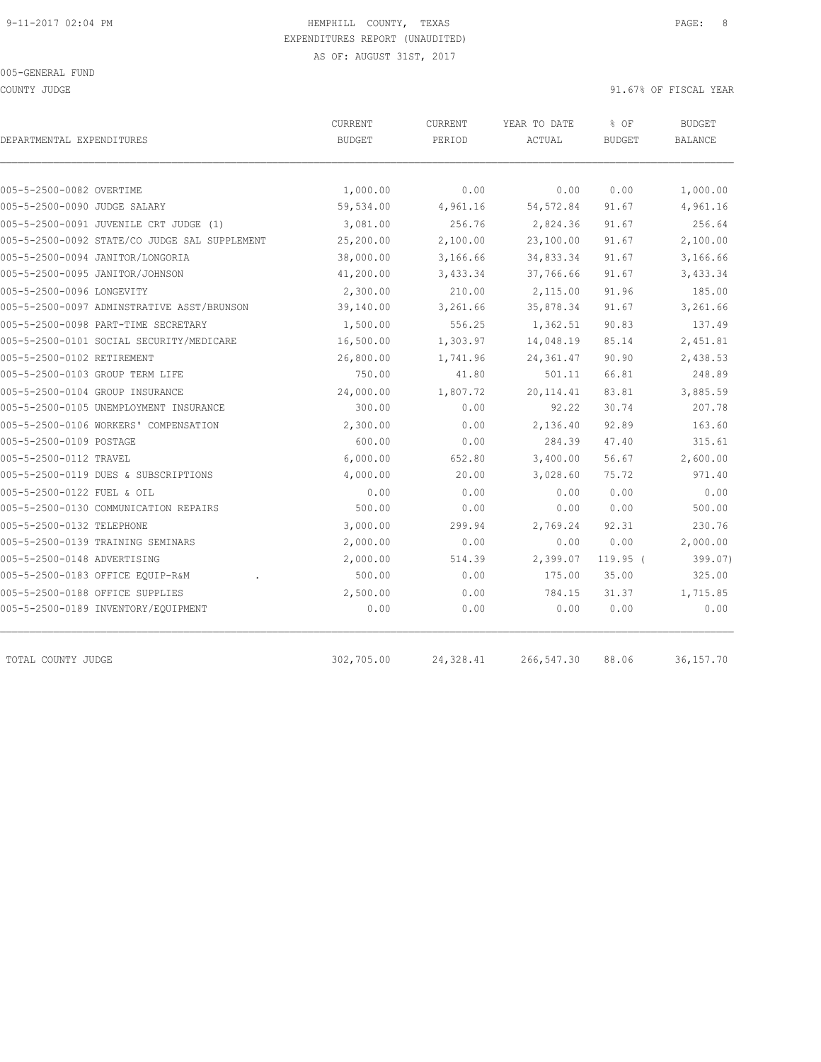COUNTY JUDGE 91.67% OF FISCAL YEAR

|                                               |            | PERIOD    | ACTUAL      | <b>BUDGET</b> | <b>BALANCE</b> |
|-----------------------------------------------|------------|-----------|-------------|---------------|----------------|
|                                               |            |           |             |               |                |
| 005-5-2500-0082 OVERTIME                      | 1,000.00   | 0.00      | 0.00        | 0.00          | 1,000.00       |
| 005-5-2500-0090 JUDGE SALARY                  | 59,534.00  | 4,961.16  | 54, 572.84  | 91.67         | 4,961.16       |
| 005-5-2500-0091 JUVENILE CRT JUDGE (1)        | 3,081.00   | 256.76    | 2,824.36    | 91.67         | 256.64         |
| 005-5-2500-0092 STATE/CO JUDGE SAL SUPPLEMENT | 25,200.00  | 2,100.00  | 23,100.00   | 91.67         | 2,100.00       |
| 005-5-2500-0094 JANITOR/LONGORIA              | 38,000.00  | 3,166.66  | 34,833.34   | 91.67         | 3,166.66       |
| 005-5-2500-0095 JANITOR/JOHNSON               | 41,200.00  | 3,433.34  | 37,766.66   | 91.67         | 3,433.34       |
| 005-5-2500-0096 LONGEVITY                     | 2,300.00   | 210.00    | 2,115.00    | 91.96         | 185.00         |
| 005-5-2500-0097 ADMINSTRATIVE ASST/BRUNSON    | 39,140.00  | 3,261.66  | 35,878.34   | 91.67         | 3,261.66       |
| 005-5-2500-0098 PART-TIME SECRETARY           | 1,500.00   | 556.25    | 1,362.51    | 90.83         | 137.49         |
| 005-5-2500-0101 SOCIAL SECURITY/MEDICARE      | 16,500.00  | 1,303.97  | 14,048.19   | 85.14         | 2,451.81       |
| 005-5-2500-0102 RETIREMENT                    | 26,800.00  | 1,741.96  | 24, 361.47  | 90.90         | 2,438.53       |
| 005-5-2500-0103 GROUP TERM LIFE               | 750.00     | 41.80     | 501.11      | 66.81         | 248.89         |
| 005-5-2500-0104 GROUP INSURANCE               | 24,000.00  | 1,807.72  | 20, 114.41  | 83.81         | 3,885.59       |
| 005-5-2500-0105 UNEMPLOYMENT INSURANCE        | 300.00     | 0.00      | 92.22       | 30.74         | 207.78         |
| 005-5-2500-0106 WORKERS' COMPENSATION         | 2,300.00   | 0.00      | 2,136.40    | 92.89         | 163.60         |
| 005-5-2500-0109 POSTAGE                       | 600.00     | 0.00      | 284.39      | 47.40         | 315.61         |
| 005-5-2500-0112 TRAVEL                        | 6,000.00   | 652.80    | 3,400.00    | 56.67         | 2,600.00       |
| 005-5-2500-0119 DUES & SUBSCRIPTIONS          | 4,000.00   | 20.00     | 3,028.60    | 75.72         | 971.40         |
| 005-5-2500-0122 FUEL & OIL                    | 0.00       | 0.00      | 0.00        | 0.00          | 0.00           |
| 005-5-2500-0130 COMMUNICATION REPAIRS         | 500.00     | 0.00      | 0.00        | 0.00          | 500.00         |
| 005-5-2500-0132 TELEPHONE                     | 3,000.00   | 299.94    | 2,769.24    | 92.31         | 230.76         |
| 005-5-2500-0139 TRAINING SEMINARS             | 2,000.00   | 0.00      | 0.00        | 0.00          | 2,000.00       |
| 005-5-2500-0148 ADVERTISING                   | 2,000.00   | 514.39    | 2,399.07    | $119.95$ (    | 399.07)        |
| 005-5-2500-0183 OFFICE EQUIP-R&M              | 500.00     | 0.00      | 175.00      | 35.00         | 325.00         |
| 005-5-2500-0188 OFFICE SUPPLIES               | 2,500.00   | 0.00      | 784.15      | 31.37         | 1,715.85       |
| 005-5-2500-0189 INVENTORY/EQUIPMENT           | 0.00       | 0.00      | 0.00        | 0.00          | 0.00           |
| TOTAL COUNTY JUDGE                            | 302,705.00 | 24,328.41 | 266, 547.30 | 88.06         | 36, 157. 70    |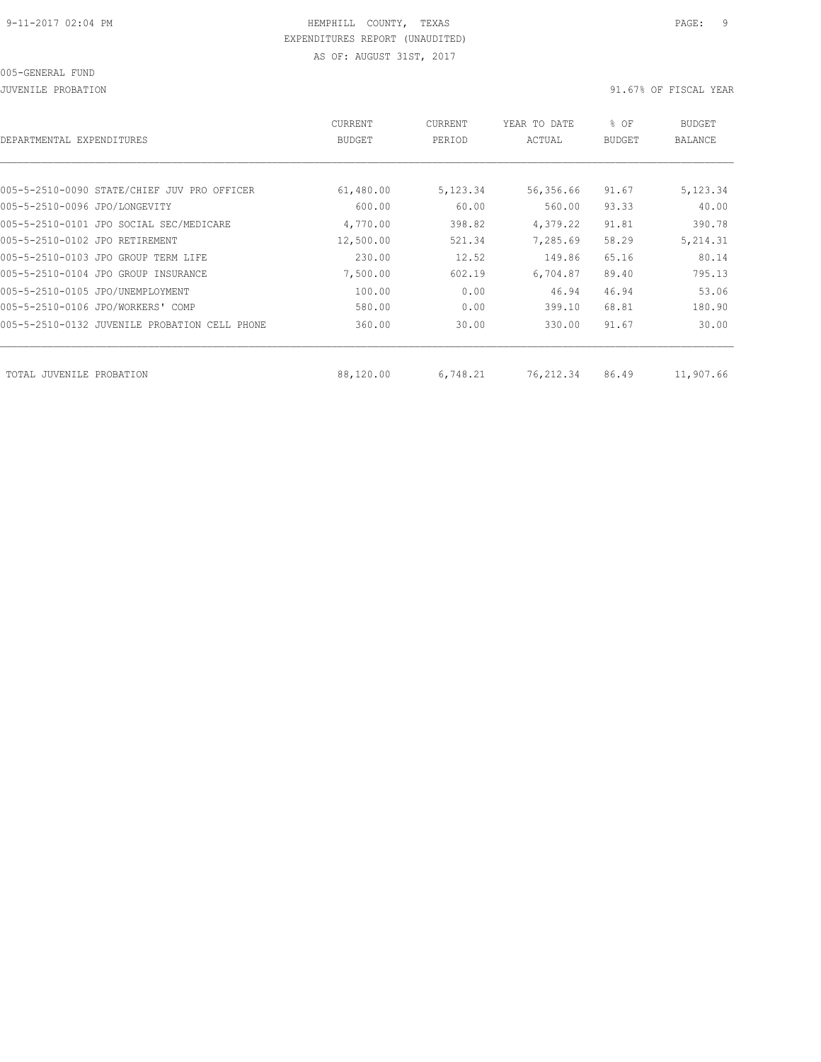| DEPARTMENTAL EXPENDITURES                     | CURRENT<br><b>BUDGET</b> | <b>CURRENT</b><br>PERIOD | YEAR TO DATE<br>ACTUAL | % OF<br><b>BUDGET</b> | <b>BUDGET</b><br>BALANCE |
|-----------------------------------------------|--------------------------|--------------------------|------------------------|-----------------------|--------------------------|
|                                               |                          |                          |                        |                       |                          |
| 005-5-2510-0090 STATE/CHIEF JUV PRO OFFICER   | 61,480.00                | 5,123.34                 | 56,356.66              | 91.67                 | 5,123.34                 |
| 005-5-2510-0096 JPO/LONGEVITY                 | 600.00                   | 60.00                    | 560.00                 | 93.33                 | 40.00                    |
| 005-5-2510-0101 JPO SOCIAL SEC/MEDICARE       | 4,770.00                 | 398.82                   | 4,379.22               | 91.81                 | 390.78                   |
| 005-5-2510-0102 JPO RETIREMENT                | 12,500.00                | 521.34                   | 7,285.69               | 58.29                 | 5,214.31                 |
| 005-5-2510-0103 JPO GROUP TERM LIFE           | 230.00                   | 12.52                    | 149.86                 | 65.16                 | 80.14                    |
| 005-5-2510-0104 JPO GROUP INSURANCE           | 7,500.00                 | 602.19                   | 6,704.87               | 89.40                 | 795.13                   |
| 005-5-2510-0105 JPO/UNEMPLOYMENT              | 100.00                   | 0.00                     | 46.94                  | 46.94                 | 53.06                    |
| 005-5-2510-0106 JPO/WORKERS' COMP             | 580.00                   | 0.00                     | 399.10                 | 68.81                 | 180.90                   |
| 005-5-2510-0132 JUVENILE PROBATION CELL PHONE | 360.00                   | 30.00                    | 330.00                 | 91.67                 | 30.00                    |
|                                               |                          |                          |                        |                       |                          |
| TOTAL JUVENILE PROBATION                      | 88,120.00                | 6,748.21                 | 76,212.34              | 86.49                 | 11,907.66                |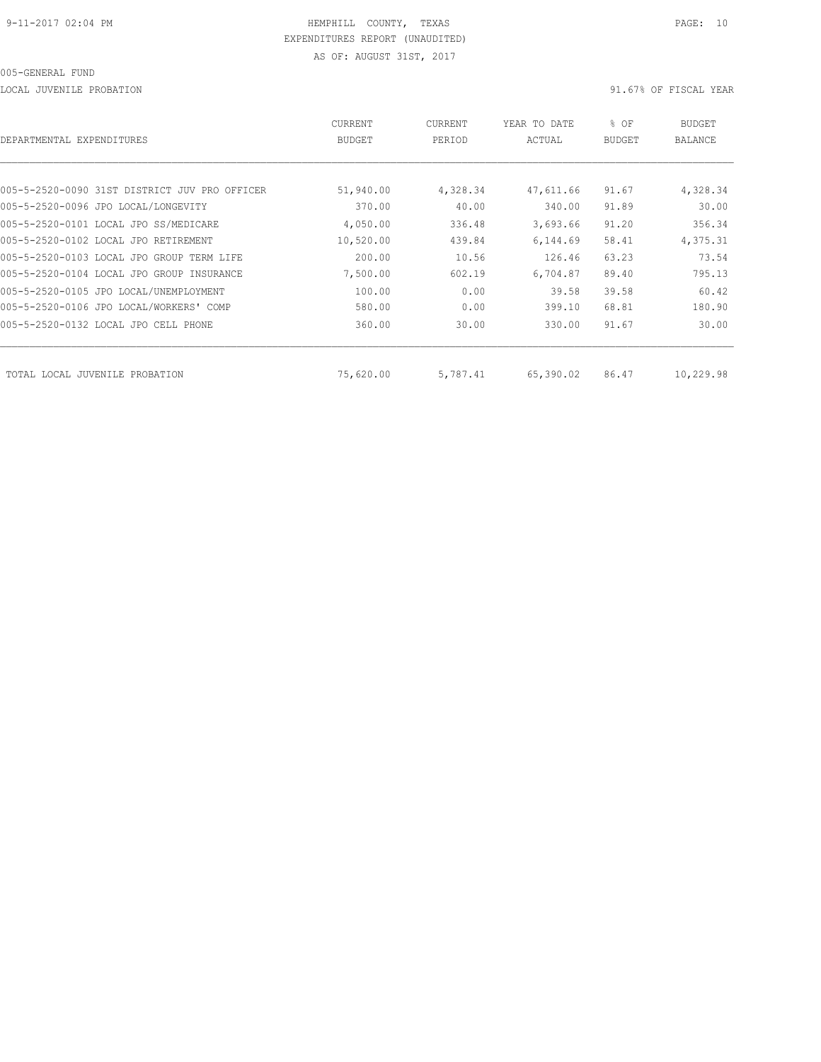LOCAL JUVENILE PROBATION 91.67% OF FISCAL YEAR

| DEPARTMENTAL EXPENDITURES                     | CURRENT<br><b>BUDGET</b> | CURRENT<br>PERIOD | YEAR TO DATE<br>ACTUAL | % OF<br><b>BUDGET</b> | <b>BUDGET</b><br><b>BALANCE</b> |
|-----------------------------------------------|--------------------------|-------------------|------------------------|-----------------------|---------------------------------|
|                                               |                          |                   |                        |                       |                                 |
| 005-5-2520-0090 31ST DISTRICT JUV PRO OFFICER | 51,940.00                | 4,328.34          | 47,611.66              | 91.67                 | 4,328.34                        |
| 005-5-2520-0096 JPO LOCAL/LONGEVITY           | 370.00                   | 40.00             | 340.00                 | 91.89                 | 30.00                           |
| 005-5-2520-0101 LOCAL JPO SS/MEDICARE         | 4,050.00                 | 336.48            | 3,693.66               | 91.20                 | 356.34                          |
| 005-5-2520-0102 LOCAL JPO RETIREMENT          | 10,520.00                | 439.84            | 6,144.69               | 58.41                 | 4,375.31                        |
| 005-5-2520-0103 LOCAL JPO GROUP TERM LIFE     | 200.00                   | 10.56             | 126.46                 | 63.23                 | 73.54                           |
| 005-5-2520-0104 LOCAL JPO GROUP INSURANCE     | 7,500.00                 | 602.19            | 6,704.87               | 89.40                 | 795.13                          |
| 005-5-2520-0105 JPO LOCAL/UNEMPLOYMENT        | 100.00                   | 0.00              | 39.58                  | 39.58                 | 60.42                           |
| 005-5-2520-0106 JPO LOCAL/WORKERS' COMP       | 580.00                   | 0.00              | 399.10                 | 68.81                 | 180.90                          |
| 005-5-2520-0132 LOCAL JPO CELL PHONE          | 360.00                   | 30.00             | 330.00                 | 91.67                 | 30.00                           |
| TOTAL LOCAL JUVENILE PROBATION                | 75,620.00                | 5,787.41          | 65,390.02              | 86.47                 | 10,229.98                       |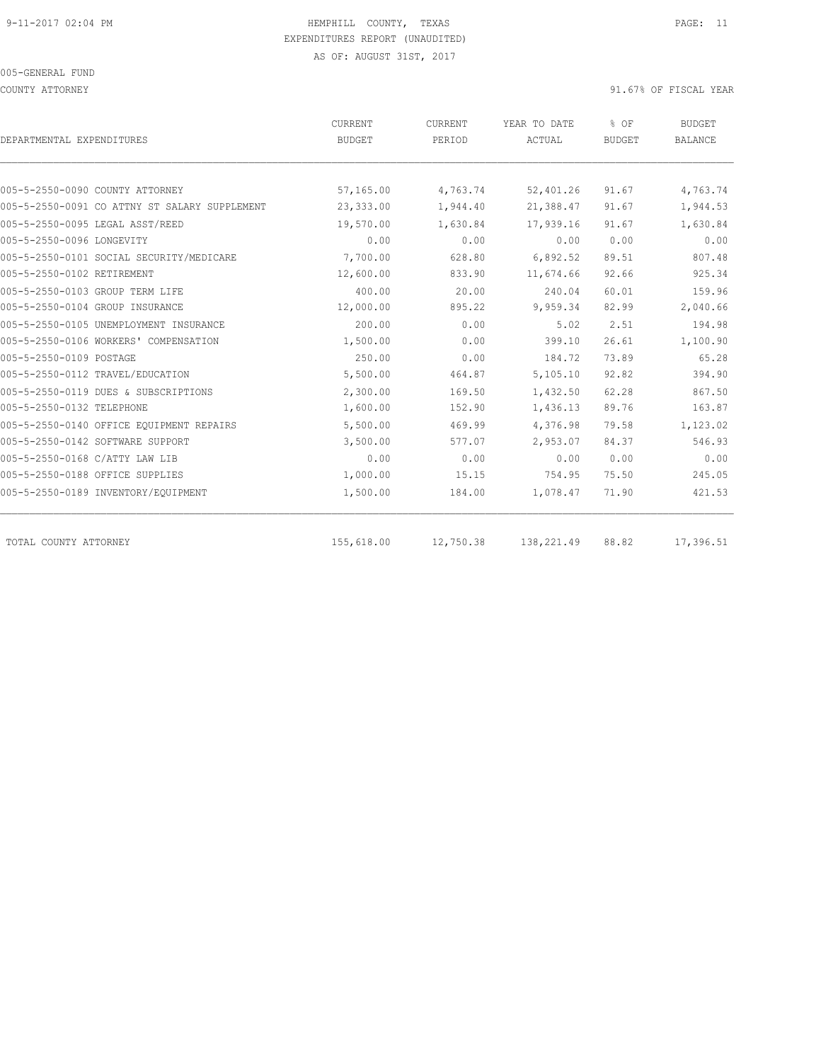COUNTY ATTORNEY 91.67% OF FISCAL YEAR

| DEPARTMENTAL EXPENDITURES                     | CURRENT<br><b>BUDGET</b> | <b>CURRENT</b><br>PERIOD | YEAR TO DATE<br>ACTUAL | % OF<br><b>BUDGET</b> | <b>BUDGET</b><br><b>BALANCE</b> |
|-----------------------------------------------|--------------------------|--------------------------|------------------------|-----------------------|---------------------------------|
|                                               |                          |                          |                        |                       |                                 |
| 005-5-2550-0090 COUNTY ATTORNEY               | 57,165.00                | 4,763.74                 | 52,401.26              | 91.67                 | 4,763.74                        |
| 005-5-2550-0091 CO ATTNY ST SALARY SUPPLEMENT | 23,333.00                | 1,944.40                 | 21,388.47              | 91.67                 | 1,944.53                        |
| 005-5-2550-0095 LEGAL ASST/REED               | 19,570.00                | 1,630.84                 | 17,939.16              | 91.67                 | 1,630.84                        |
| 005-5-2550-0096 LONGEVITY                     | 0.00                     | 0.00                     | 0.00                   | 0.00                  | 0.00                            |
| 005-5-2550-0101 SOCIAL SECURITY/MEDICARE      | 7,700.00                 | 628.80                   | 6,892.52               | 89.51                 | 807.48                          |
| 005-5-2550-0102 RETIREMENT                    | 12,600.00                | 833.90                   | 11,674.66              | 92.66                 | 925.34                          |
| 005-5-2550-0103 GROUP TERM LIFE               | 400.00                   | 20.00                    | 240.04                 | 60.01                 | 159.96                          |
| 005-5-2550-0104 GROUP INSURANCE               | 12,000.00                | 895.22                   | 9,959.34               | 82.99                 | 2,040.66                        |
| 005-5-2550-0105 UNEMPLOYMENT INSURANCE        | 200.00                   | 0.00                     | 5.02                   | 2.51                  | 194.98                          |
| 005-5-2550-0106 WORKERS' COMPENSATION         | 1,500.00                 | 0.00                     | 399.10                 | 26.61                 | 1,100.90                        |
| 005-5-2550-0109 POSTAGE                       | 250.00                   | 0.00                     | 184.72                 | 73.89                 | 65.28                           |
| 005-5-2550-0112 TRAVEL/EDUCATION              | 5,500.00                 | 464.87                   | 5,105.10               | 92.82                 | 394.90                          |
| 005-5-2550-0119 DUES & SUBSCRIPTIONS          | 2,300.00                 | 169.50                   | 1,432.50               | 62.28                 | 867.50                          |
| 005-5-2550-0132 TELEPHONE                     | 1,600.00                 | 152.90                   | 1,436.13               | 89.76                 | 163.87                          |
| 005-5-2550-0140 OFFICE EOUIPMENT REPAIRS      | 5,500.00                 | 469.99                   | 4,376.98               | 79.58                 | 1,123.02                        |
| 005-5-2550-0142 SOFTWARE SUPPORT              | 3,500.00                 | 577.07                   | 2,953.07               | 84.37                 | 546.93                          |
| 005-5-2550-0168 C/ATTY LAW LIB                | 0.00                     | 0.00                     | 0.00                   | 0.00                  | 0.00                            |
| 005-5-2550-0188 OFFICE SUPPLIES               | 1,000.00                 | 15.15                    | 754.95                 | 75.50                 | 245.05                          |
| 005-5-2550-0189 INVENTORY/EQUIPMENT           | 1,500.00                 | 184.00                   | 1,078.47               | 71.90                 | 421.53                          |
| TOTAL COUNTY ATTORNEY                         | 155,618.00               | 12,750.38                | 138,221.49             | 88.82                 | 17,396.51                       |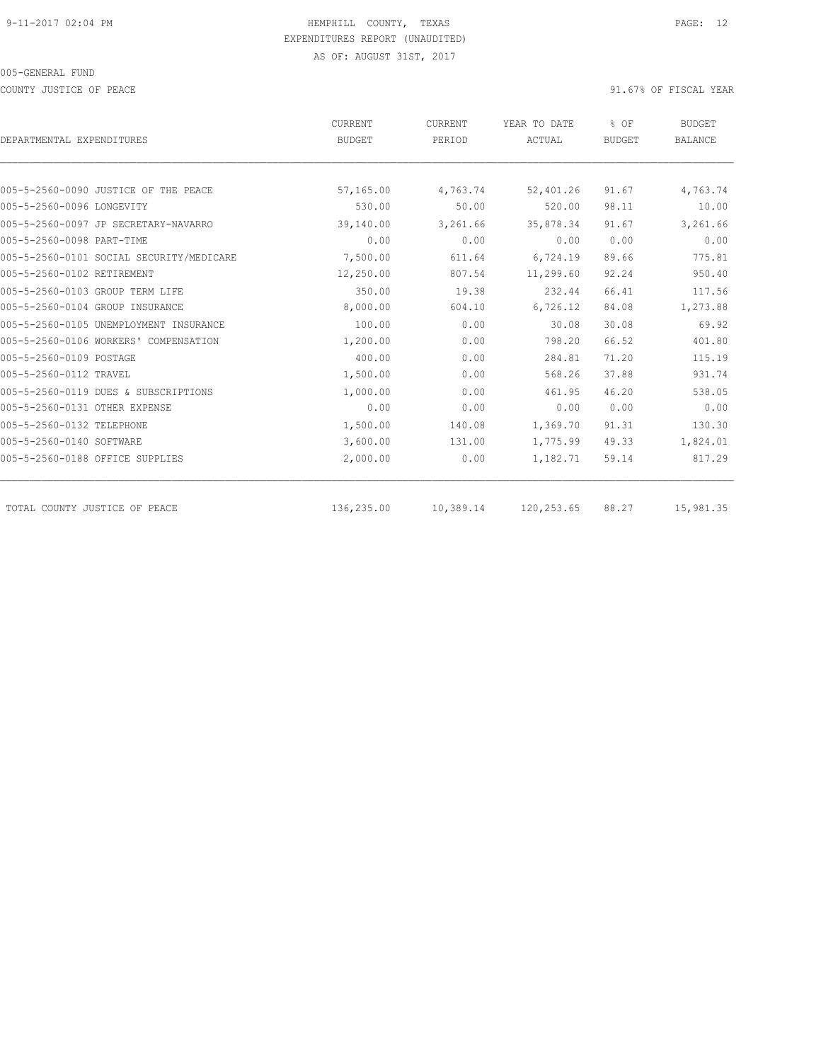COUNTY JUSTICE OF PEACE **1999** COUNTY JUSTICE OF PEACE

| DEPARTMENTAL EXPENDITURES                | CURRENT<br><b>BUDGET</b> | CURRENT<br>PERIOD | YEAR TO DATE<br>ACTUAL | % OF                                                                                                   | <b>BUDGET</b><br><b>BALANCE</b> |
|------------------------------------------|--------------------------|-------------------|------------------------|--------------------------------------------------------------------------------------------------------|---------------------------------|
|                                          |                          |                   |                        | <b>BUDGET</b><br>91.67<br>98.11<br>91.67<br>0.00<br>89.66<br>92.24<br>66.41<br>84.08<br>30.08<br>66.52 |                                 |
| 005-5-2560-0090 JUSTICE OF THE PEACE     | 57,165.00                | 4,763.74          | 52,401.26              |                                                                                                        | 4,763.74                        |
| 005-5-2560-0096 LONGEVITY                | 530.00                   | 50.00             | 520.00                 |                                                                                                        | 10.00                           |
| 005-5-2560-0097 JP SECRETARY-NAVARRO     | 39,140.00                | 3,261.66          | 35,878.34              |                                                                                                        | 3,261.66                        |
| 005-5-2560-0098 PART-TIME                | 0.00                     | 0.00              | 0.00                   |                                                                                                        | 0.00                            |
| 005-5-2560-0101 SOCIAL SECURITY/MEDICARE | 7,500.00                 | 611.64            | 6,724.19               |                                                                                                        | 775.81                          |
| 005-5-2560-0102 RETIREMENT               | 12,250.00                | 807.54            | 11,299.60              |                                                                                                        | 950.40                          |
| 005-5-2560-0103 GROUP TERM LIFE          | 350.00                   | 19.38             | 232.44                 |                                                                                                        | 117.56                          |
| 005-5-2560-0104 GROUP INSURANCE          | 8,000.00                 | 604.10            | 6,726.12               |                                                                                                        | 1,273.88                        |
| 005-5-2560-0105 UNEMPLOYMENT INSURANCE   | 100.00                   | 0.00              | 30.08                  |                                                                                                        | 69.92                           |
| 005-5-2560-0106 WORKERS' COMPENSATION    | 1,200.00                 | 0.00              | 798.20                 |                                                                                                        | 401.80                          |
| 005-5-2560-0109 POSTAGE                  | 400.00                   | 0.00              | 284.81                 | 71.20                                                                                                  | 115.19                          |
| 005-5-2560-0112 TRAVEL                   | 1,500.00                 | 0.00              | 568.26                 | 37.88                                                                                                  | 931.74                          |
| 005-5-2560-0119 DUES & SUBSCRIPTIONS     | 1,000.00                 | 0.00              | 461.95                 | 46.20                                                                                                  | 538.05                          |
| 005-5-2560-0131 OTHER EXPENSE            | 0.00                     | 0.00              | 0.00                   | 0.00                                                                                                   | 0.00                            |
| 005-5-2560-0132 TELEPHONE                | 1,500.00                 | 140.08            | 1,369.70               | 91.31                                                                                                  | 130.30                          |
| 005-5-2560-0140 SOFTWARE                 | 3,600.00                 | 131.00            | 1,775.99               | 49.33                                                                                                  | 1,824.01                        |
| 005-5-2560-0188 OFFICE SUPPLIES          | 2,000.00                 | 0.00              | 1,182.71               | 59.14                                                                                                  | 817.29                          |
| TOTAL COUNTY JUSTICE OF PEACE            | 136,235.00               | 10,389.14         | 120,253.65             | 88.27                                                                                                  | 15,981.35                       |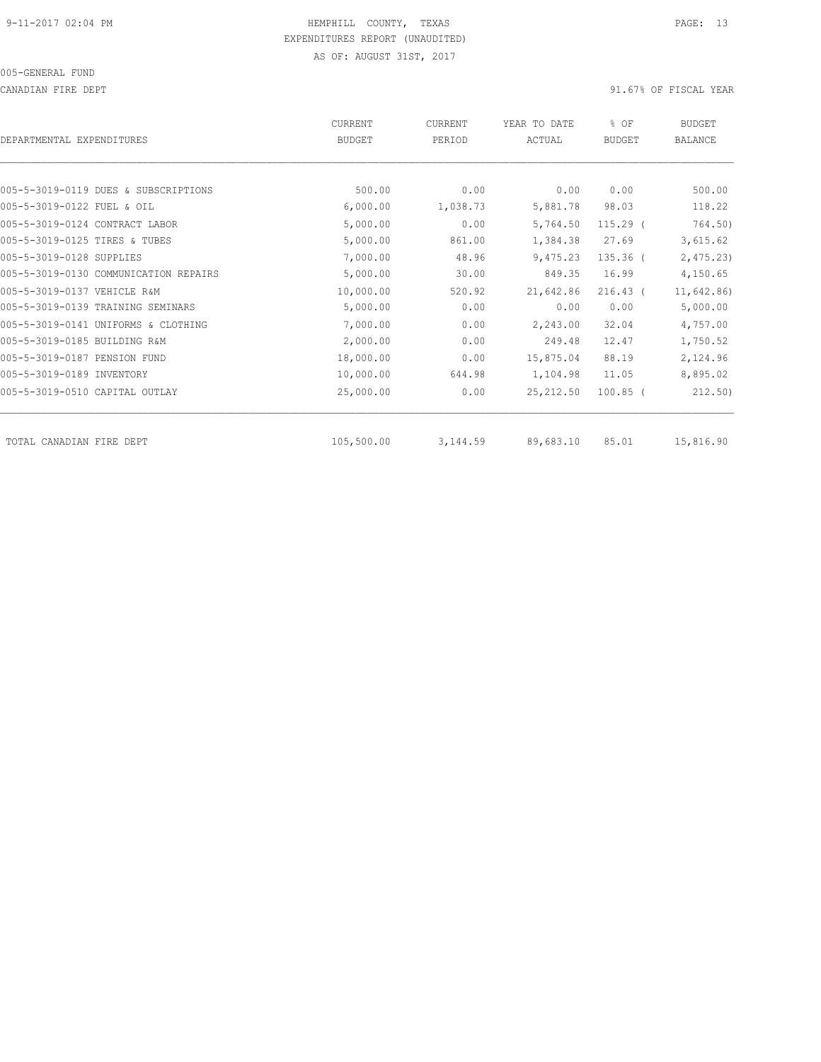CANADIAN FIRE DEPT 91.67% OF FISCAL YEAR

| DEPARTMENTAL EXPENDITURES             | <b>CURRENT</b><br>BUDGET | CURRENT<br>PERIOD | YEAR TO DATE<br>ACTUAL | % OF<br><b>BUDGET</b> | <b>BUDGET</b><br>BALANCE |
|---------------------------------------|--------------------------|-------------------|------------------------|-----------------------|--------------------------|
|                                       |                          |                   |                        |                       |                          |
| 005-5-3019-0119 DUES & SUBSCRIPTIONS  | 500.00                   | 0.00              | 0.00                   | 0.00                  | 500.00                   |
| 005-5-3019-0122 FUEL & OIL            | 6,000.00                 | 1,038.73          | 5,881.78               | 98.03                 | 118.22                   |
| 005-5-3019-0124 CONTRACT LABOR        | 5,000.00                 | 0.00              | 5,764.50               | $115.29$ (            | 764.50)                  |
| 005-5-3019-0125 TIRES & TUBES         | 5,000.00                 | 861.00            | 1,384.38               | 27.69                 | 3,615.62                 |
| 005-5-3019-0128 SUPPLIES              | 7,000.00                 | 48.96             | 9,475.23               | $135.36$ $($          | 2,475.23                 |
| 005-5-3019-0130 COMMUNICATION REPAIRS | 5,000.00                 | 30.00             | 849.35                 | 16.99                 | 4,150.65                 |
| 005-5-3019-0137 VEHICLE R&M           | 10,000.00                | 520.92            | 21,642.86              | $216.43$ (            | 11,642.86)               |
| 005-5-3019-0139 TRAINING SEMINARS     | 5,000.00                 | 0.00              | 0.00                   | 0.00                  | 5,000.00                 |
| 005-5-3019-0141 UNIFORMS & CLOTHING   | 7,000.00                 | 0.00              | 2,243.00               | 32.04                 | 4,757.00                 |
| 005-5-3019-0185 BUILDING R&M          | 2,000.00                 | 0.00              | 249.48                 | 12.47                 | 1,750.52                 |
| 005-5-3019-0187 PENSION FUND          | 18,000.00                | 0.00              | 15,875.04              | 88.19                 | 2,124.96                 |
| 005-5-3019-0189 INVENTORY             | 10,000.00                | 644.98            | 1,104.98               | 11.05                 | 8,895.02                 |
| 005-5-3019-0510 CAPITAL OUTLAY        | 25,000.00                | 0.00              | 25, 212, 50            | $100.85$ (            | 212.50)                  |
| TOTAL CANADIAN FIRE DEPT              | 105,500.00               | 3,144.59          | 89,683.10              | 85.01                 | 15,816.90                |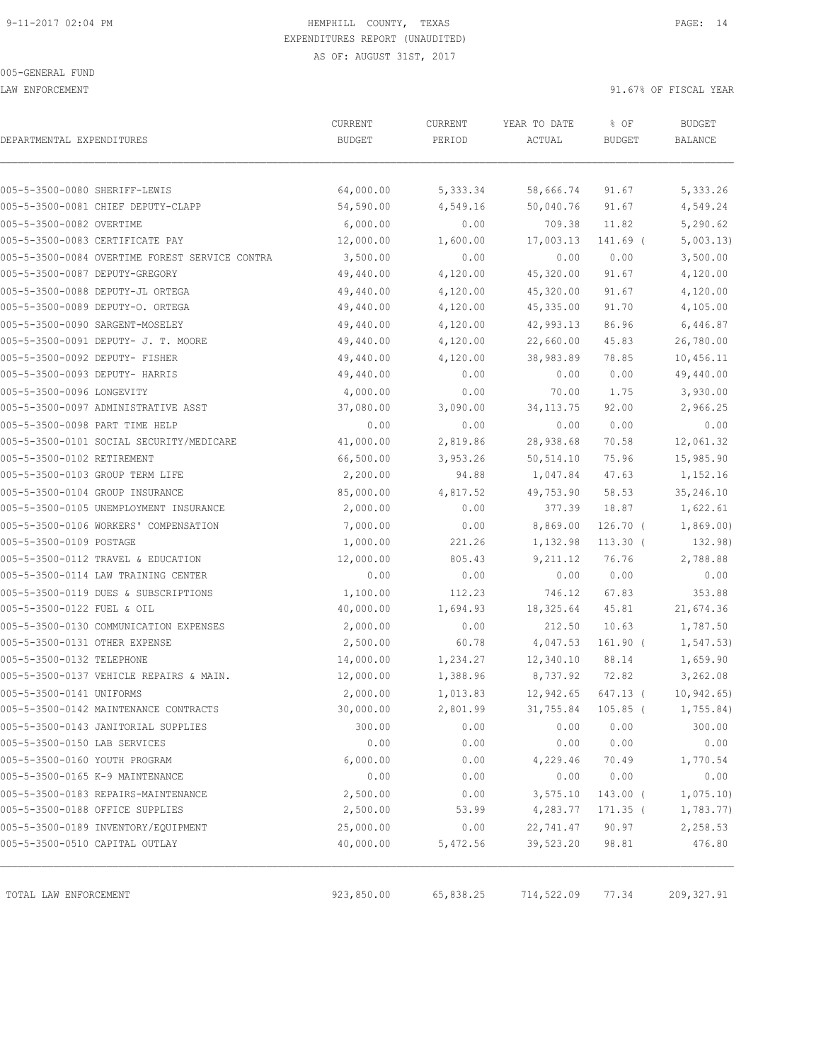LAW ENFORCEMENT 91.67% OF FISCAL YEAR

| DEPARTMENTAL EXPENDITURES                      | CURRENT<br><b>BUDGET</b> | CURRENT<br>PERIOD | YEAR TO DATE<br>ACTUAL | % OF<br><b>BUDGET</b> | <b>BUDGET</b><br>BALANCE |
|------------------------------------------------|--------------------------|-------------------|------------------------|-----------------------|--------------------------|
| 005-5-3500-0080 SHERIFF-LEWIS                  | 64,000.00                | 5,333.34          | 58,666.74              | 91.67                 | 5,333.26                 |
| 005-5-3500-0081 CHIEF DEPUTY-CLAPP             | 54,590.00                | 4,549.16          | 50,040.76              | 91.67                 | 4,549.24                 |
| 005-5-3500-0082 OVERTIME                       | 6,000.00                 | 0.00              | 709.38                 | 11.82                 | 5,290.62                 |
| 005-5-3500-0083 CERTIFICATE PAY                | 12,000.00                | 1,600.00          | 17,003.13              | 141.69 (              | 5,003.13)                |
| 005-5-3500-0084 OVERTIME FOREST SERVICE CONTRA | 3,500.00                 | 0.00              | 0.00                   | 0.00                  | 3,500.00                 |
| 005-5-3500-0087 DEPUTY-GREGORY                 | 49,440.00                | 4,120.00          | 45,320.00              | 91.67                 | 4,120.00                 |
| 005-5-3500-0088 DEPUTY-JL ORTEGA               | 49,440.00                | 4,120.00          | 45,320.00              | 91.67                 | 4,120.00                 |
| 005-5-3500-0089 DEPUTY-O. ORTEGA               | 49,440.00                | 4,120.00          | 45, 335.00             | 91.70                 | 4,105.00                 |
| 005-5-3500-0090 SARGENT-MOSELEY                | 49,440.00                | 4,120.00          | 42,993.13              | 86.96                 | 6,446.87                 |
| 005-5-3500-0091 DEPUTY- J. T. MOORE            | 49,440.00                | 4,120.00          | 22,660.00              | 45.83                 | 26,780.00                |
| 005-5-3500-0092 DEPUTY- FISHER                 | 49,440.00                | 4,120.00          | 38,983.89              | 78.85                 | 10,456.11                |
| 005-5-3500-0093 DEPUTY- HARRIS                 | 49,440.00                | 0.00              | 0.00                   | 0.00                  | 49,440.00                |
| 005-5-3500-0096 LONGEVITY                      | 4,000.00                 | 0.00              | 70.00                  | 1.75                  | 3,930.00                 |
| 005-5-3500-0097 ADMINISTRATIVE ASST            | 37,080.00                | 3,090.00          | 34, 113.75             | 92.00                 | 2,966.25                 |
| 005-5-3500-0098 PART TIME HELP                 | 0.00                     | 0.00              | 0.00                   | 0.00                  | 0.00                     |
| 005-5-3500-0101 SOCIAL SECURITY/MEDICARE       | 41,000.00                | 2,819.86          | 28,938.68              | 70.58                 | 12,061.32                |
| 005-5-3500-0102 RETIREMENT                     | 66,500.00                | 3,953.26          | 50, 514.10             | 75.96                 | 15,985.90                |
| 005-5-3500-0103 GROUP TERM LIFE                | 2,200.00                 | 94.88             | 1,047.84               | 47.63                 | 1,152.16                 |
| 005-5-3500-0104 GROUP INSURANCE                | 85,000.00                | 4,817.52          | 49,753.90              | 58.53                 | 35,246.10                |
| 005-5-3500-0105 UNEMPLOYMENT INSURANCE         | 2,000.00                 | 0.00              | 377.39                 | 18.87                 | 1,622.61                 |
| 005-5-3500-0106 WORKERS' COMPENSATION          | 7,000.00                 | 0.00              | 8,869.00               | $126.70$ (            | 1,869.00                 |
| 005-5-3500-0109 POSTAGE                        | 1,000.00                 | 221.26            | 1,132.98               | $113.30$ (            | 132.98)                  |
| 005-5-3500-0112 TRAVEL & EDUCATION             | 12,000.00                | 805.43            | 9,211.12               | 76.76                 | 2,788.88                 |
| 005-5-3500-0114 LAW TRAINING CENTER            | 0.00                     | 0.00              | 0.00                   | 0.00                  | 0.00                     |
| 005-5-3500-0119 DUES & SUBSCRIPTIONS           | 1,100.00                 | 112.23            | 746.12                 | 67.83                 | 353.88                   |
| 005-5-3500-0122 FUEL & OIL                     | 40,000.00                | 1,694.93          | 18,325.64              | 45.81                 | 21,674.36                |
| 005-5-3500-0130 COMMUNICATION EXPENSES         | 2,000.00                 | 0.00              | 212.50                 | 10.63                 | 1,787.50                 |
| 005-5-3500-0131 OTHER EXPENSE                  | 2,500.00                 | 60.78             | 4,047.53               | 161.90 (              | 1, 547.53)               |
| 005-5-3500-0132 TELEPHONE                      | 14,000.00                | 1,234.27          | 12,340.10              | 88.14                 | 1,659.90                 |
| 005-5-3500-0137 VEHICLE REPAIRS & MAIN.        | 12,000.00                | 1,388.96          | 8,737.92               | 72.82                 | 3,262.08                 |
| 005-5-3500-0141 UNIFORMS                       | 2,000.00                 | 1,013.83          | 12,942.65              | 647.13 (              | 10, 942.65               |
| 005-5-3500-0142 MAINTENANCE CONTRACTS          | 30,000.00                | 2,801.99          | 31,755.84              | $105.85$ (            | 1,755.84)                |
| 005-5-3500-0143 JANITORIAL SUPPLIES            | 300.00                   | 0.00              | 0.00                   | 0.00                  | 300.00                   |
| 005-5-3500-0150 LAB SERVICES                   | 0.00                     | 0.00              | 0.00                   | 0.00                  | 0.00                     |
| 005-5-3500-0160 YOUTH PROGRAM                  | 6,000.00                 | 0.00              | 4,229.46               | 70.49                 | 1,770.54                 |
| 005-5-3500-0165 K-9 MAINTENANCE                | 0.00                     | 0.00              | 0.00                   | 0.00                  | 0.00                     |
| 005-5-3500-0183 REPAIRS-MAINTENANCE            | 2,500.00                 | 0.00              | 3,575.10               | 143.00 (              | 1,075.10                 |
| 005-5-3500-0188 OFFICE SUPPLIES                | 2,500.00                 | 53.99             | 4,283.77               | $171.35$ (            | 1,783.77)                |
| 005-5-3500-0189 INVENTORY/EQUIPMENT            | 25,000.00                | 0.00              | 22,741.47              | 90.97                 | 2,258.53                 |
| 005-5-3500-0510 CAPITAL OUTLAY                 | 40,000.00                | 5,472.56          | 39,523.20              | 98.81                 | 476.80                   |
| TOTAL LAW ENFORCEMENT                          | 923,850.00               | 65,838.25         | 714,522.09             | 77.34                 | 209, 327.91              |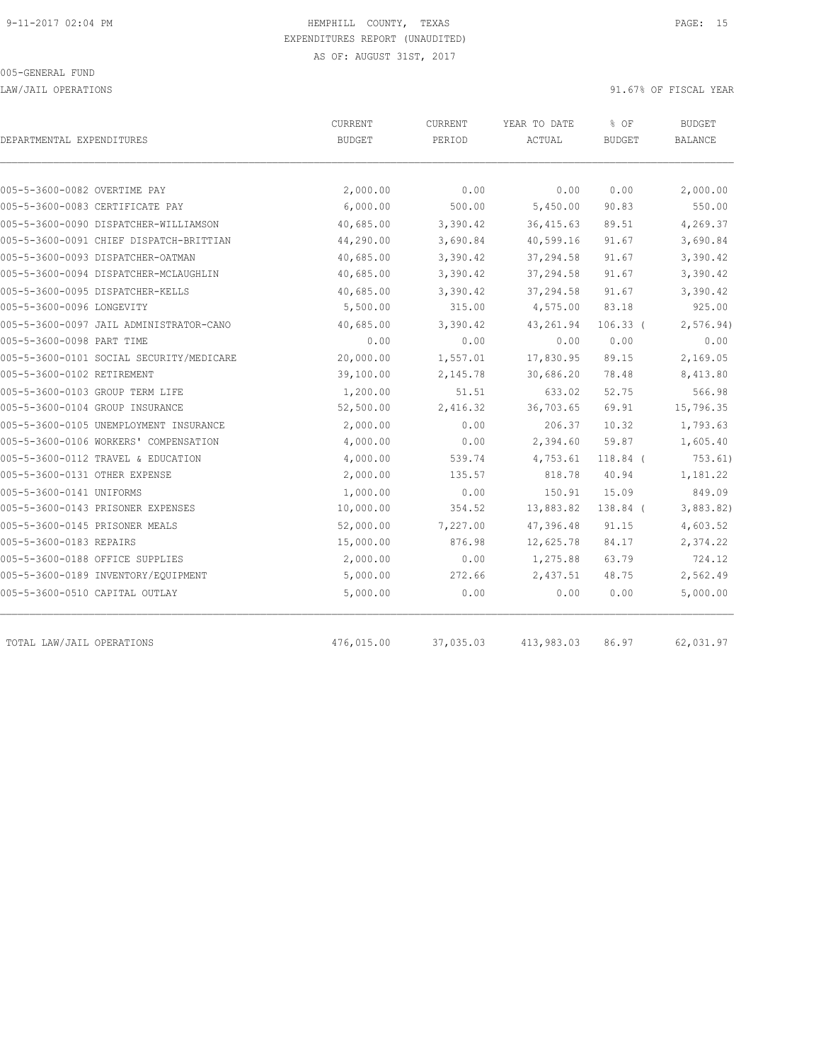LAW/JAIL OPERATIONS 91.67% OF FISCAL YEAR

| DEPARTMENTAL EXPENDITURES                | CURRENT<br><b>BUDGET</b> | CURRENT<br>PERIOD | YEAR TO DATE<br>ACTUAL | % OF<br><b>BUDGET</b> | <b>BUDGET</b><br><b>BALANCE</b> |
|------------------------------------------|--------------------------|-------------------|------------------------|-----------------------|---------------------------------|
|                                          |                          |                   |                        |                       |                                 |
| 005-5-3600-0082 OVERTIME PAY             | 2,000.00                 | 0.00              | 0.00                   | 0.00                  | 2,000.00                        |
| 005-5-3600-0083 CERTIFICATE PAY          | 6,000.00                 | 500.00            | 5,450.00               | 90.83                 | 550.00                          |
| 005-5-3600-0090 DISPATCHER-WILLIAMSON    | 40,685.00                | 3,390.42          | 36, 415.63             | 89.51                 | 4,269.37                        |
| 005-5-3600-0091 CHIEF DISPATCH-BRITTIAN  | 44,290.00                | 3,690.84          | 40,599.16              | 91.67                 | 3,690.84                        |
| 005-5-3600-0093 DISPATCHER-OATMAN        | 40,685.00                | 3,390.42          | 37,294.58              | 91.67                 | 3,390.42                        |
| 005-5-3600-0094 DISPATCHER-MCLAUGHLIN    | 40,685.00                | 3,390.42          | 37,294.58              | 91.67                 | 3,390.42                        |
| 005-5-3600-0095 DISPATCHER-KELLS         | 40,685.00                | 3,390.42          | 37,294.58              | 91.67                 | 3,390.42                        |
| 005-5-3600-0096 LONGEVITY                | 5,500.00                 | 315.00            | 4,575.00               | 83.18                 | 925.00                          |
| 005-5-3600-0097 JAIL ADMINISTRATOR-CANO  | 40,685.00                | 3,390.42          | 43,261.94              | $106.33$ (            | 2,576.94)                       |
| 005-5-3600-0098 PART TIME                | 0.00                     | 0.00              | 0.00                   | 0.00                  | 0.00                            |
| 005-5-3600-0101 SOCIAL SECURITY/MEDICARE | 20,000.00                | 1,557.01          | 17,830.95              | 89.15                 | 2,169.05                        |
| 005-5-3600-0102 RETIREMENT               | 39,100.00                | 2,145.78          | 30,686.20              | 78.48                 | 8,413.80                        |
| 005-5-3600-0103 GROUP TERM LIFE          | 1,200.00                 | 51.51             | 633.02                 | 52.75                 | 566.98                          |
| 005-5-3600-0104 GROUP INSURANCE          | 52,500.00                | 2,416.32          | 36,703.65              | 69.91                 | 15,796.35                       |
| 005-5-3600-0105 UNEMPLOYMENT INSURANCE   | 2,000.00                 | 0.00              | 206.37                 | 10.32                 | 1,793.63                        |
| 005-5-3600-0106 WORKERS' COMPENSATION    | 4,000.00                 | 0.00              | 2,394.60               | 59.87                 | 1,605.40                        |
| 005-5-3600-0112 TRAVEL & EDUCATION       | 4,000.00                 | 539.74            | 4,753.61               | 118.84 (              | 753.61)                         |
| 005-5-3600-0131 OTHER EXPENSE            | 2,000.00                 | 135.57            | 818.78                 | 40.94                 | 1,181.22                        |
| 005-5-3600-0141 UNIFORMS                 | 1,000.00                 | 0.00              | 150.91                 | 15.09                 | 849.09                          |
| 005-5-3600-0143 PRISONER EXPENSES        | 10,000.00                | 354.52            | 13,883.82              | 138.84 (              | 3,883.82)                       |
| 005-5-3600-0145 PRISONER MEALS           | 52,000.00                | 7,227.00          | 47,396.48              | 91.15                 | 4,603.52                        |
| 005-5-3600-0183 REPAIRS                  | 15,000.00                | 876.98            | 12,625.78              | 84.17                 | 2,374.22                        |
| 005-5-3600-0188 OFFICE SUPPLIES          | 2,000.00                 | 0.00              | 1,275.88               | 63.79                 | 724.12                          |
| 005-5-3600-0189 INVENTORY/EQUIPMENT      | 5,000.00                 | 272.66            | 2,437.51               | 48.75                 | 2,562.49                        |
| 005-5-3600-0510 CAPITAL OUTLAY           | 5,000.00                 | 0.00              | 0.00                   | 0.00                  | 5,000.00                        |
| TOTAL LAW/JAIL OPERATIONS                | 476,015.00               | 37,035.03         | 413,983.03             | 86.97                 | 62,031.97                       |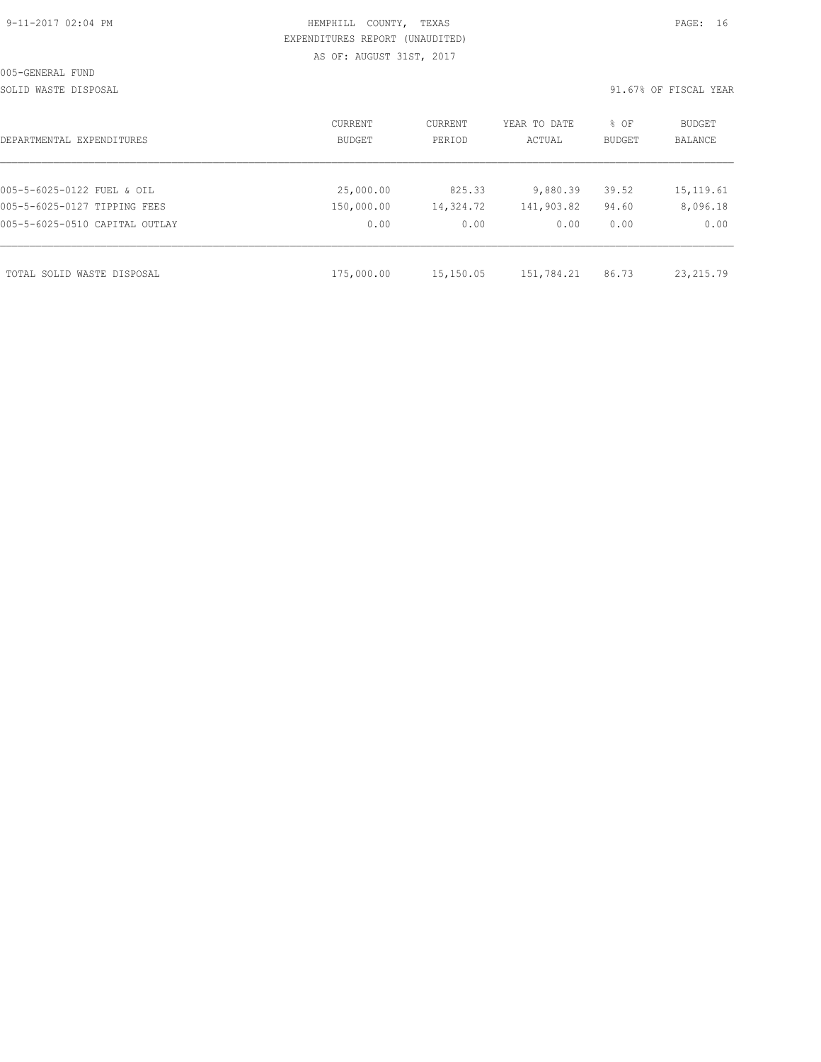| 9-11-2017 02:04 PM |  |  |
|--------------------|--|--|
|                    |  |  |

# HEMPHILL COUNTY, TEXAS **PAGE:** 16 EXPENDITURES REPORT (UNAUDITED) AS OF: AUGUST 31ST, 2017

SOLID WASTE DISPOSAL SOLID WASTE SERVER A SERVER SOLID WASTE DISPOSAL YEAR

| DEPARTMENTAL EXPENDITURES      | CURRENT<br>BUDGET | CURRENT<br>PERIOD | YEAR TO DATE<br>ACTUAL | % OF<br>BUDGET | BUDGET<br><b>BALANCE</b> |
|--------------------------------|-------------------|-------------------|------------------------|----------------|--------------------------|
|                                |                   |                   |                        |                |                          |
| 005-5-6025-0122 FUEL & OIL     | 25,000.00         | 825.33            | 9,880.39               | 39.52          | 15, 119.61               |
| 005-5-6025-0127 TIPPING FEES   | 150,000.00        | 14,324.72         | 141,903.82             | 94.60          | 8,096.18                 |
| 005-5-6025-0510 CAPITAL OUTLAY | 0.00              | 0.00              | 0.00                   | 0.00           | 0.00                     |
|                                |                   |                   |                        |                |                          |
| TOTAL SOLID WASTE DISPOSAL     | 175,000.00        | 15,150.05         | 151,784.21             | 86.73          | 23, 215.79               |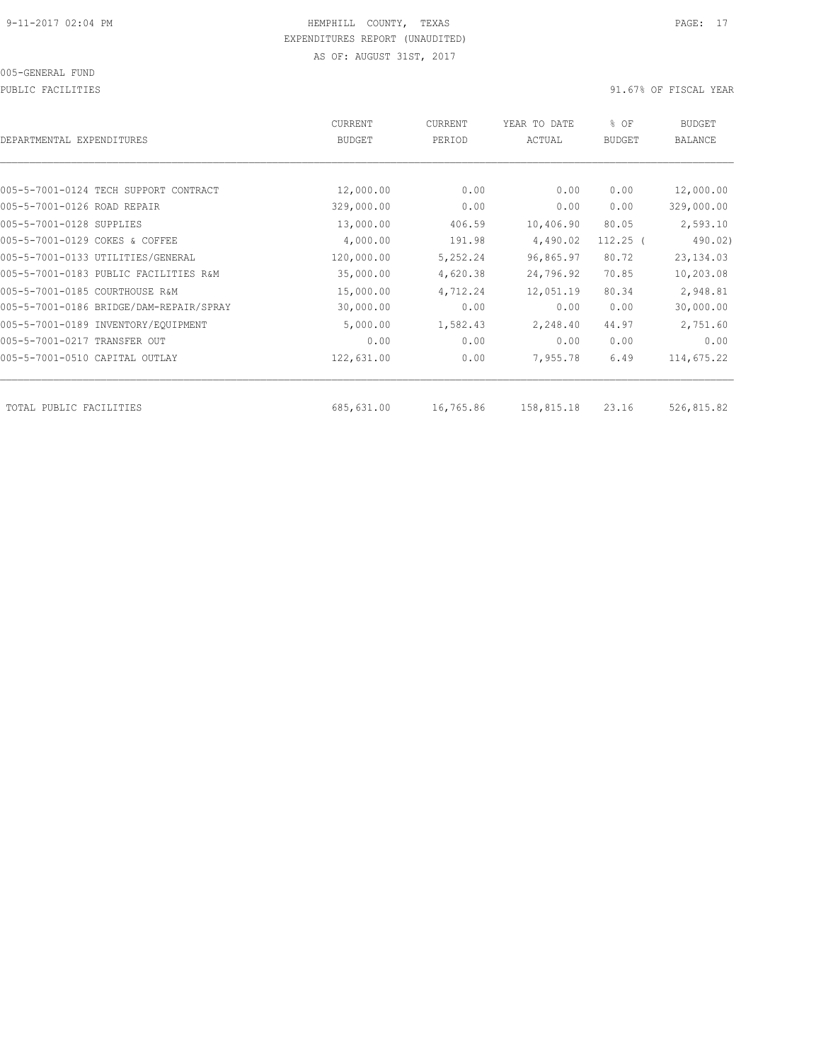PUBLIC FACILITIES 30 PUBLIC FACILITIES

| DEPARTMENTAL EXPENDITURES               | CURRENT<br><b>BUDGET</b> | CURRENT<br>PERIOD | YEAR TO DATE<br>ACTUAL | % OF<br><b>BUDGET</b> | <b>BUDGET</b><br><b>BALANCE</b> |
|-----------------------------------------|--------------------------|-------------------|------------------------|-----------------------|---------------------------------|
|                                         |                          |                   |                        |                       |                                 |
| 005-5-7001-0124 TECH SUPPORT CONTRACT   | 12,000.00                | 0.00              | 0.00                   | 0.00                  | 12,000.00                       |
| 005-5-7001-0126 ROAD REPAIR             | 329,000.00               | 0.00              | 0.00                   | 0.00                  | 329,000.00                      |
| 005-5-7001-0128 SUPPLIES                | 13,000.00                | 406.59            | 10,406.90              | 80.05                 | 2,593.10                        |
| 005-5-7001-0129 COKES & COFFEE          | 4,000.00                 | 191.98            | 4,490.02               | $112.25$ (            | 490.02)                         |
| 005-5-7001-0133 UTILITIES/GENERAL       | 120,000.00               | 5,252.24          | 96,865.97              | 80.72                 | 23, 134.03                      |
| 005-5-7001-0183 PUBLIC FACILITIES R&M   | 35,000.00                | 4,620.38          | 24,796.92              | 70.85                 | 10,203.08                       |
| 005-5-7001-0185 COURTHOUSE R&M          | 15,000.00                | 4,712.24          | 12,051.19              | 80.34                 | 2,948.81                        |
| 005-5-7001-0186 BRIDGE/DAM-REPAIR/SPRAY | 30,000.00                | 0.00              | 0.00                   | 0.00                  | 30,000.00                       |
| 005-5-7001-0189 INVENTORY/EQUIPMENT     | 5,000.00                 | 1,582.43          | 2,248.40               | 44.97                 | 2,751.60                        |
| 005-5-7001-0217 TRANSFER OUT            | 0.00                     | 0.00              | 0.00                   | 0.00                  | 0.00                            |
| 005-5-7001-0510 CAPITAL OUTLAY          | 122,631.00               | 0.00              | 7,955.78               | 6.49                  | 114,675.22                      |
| TOTAL PUBLIC FACILITIES                 | 685,631.00               | 16,765.86         | 158,815.18             | 23.16                 | 526,815.82                      |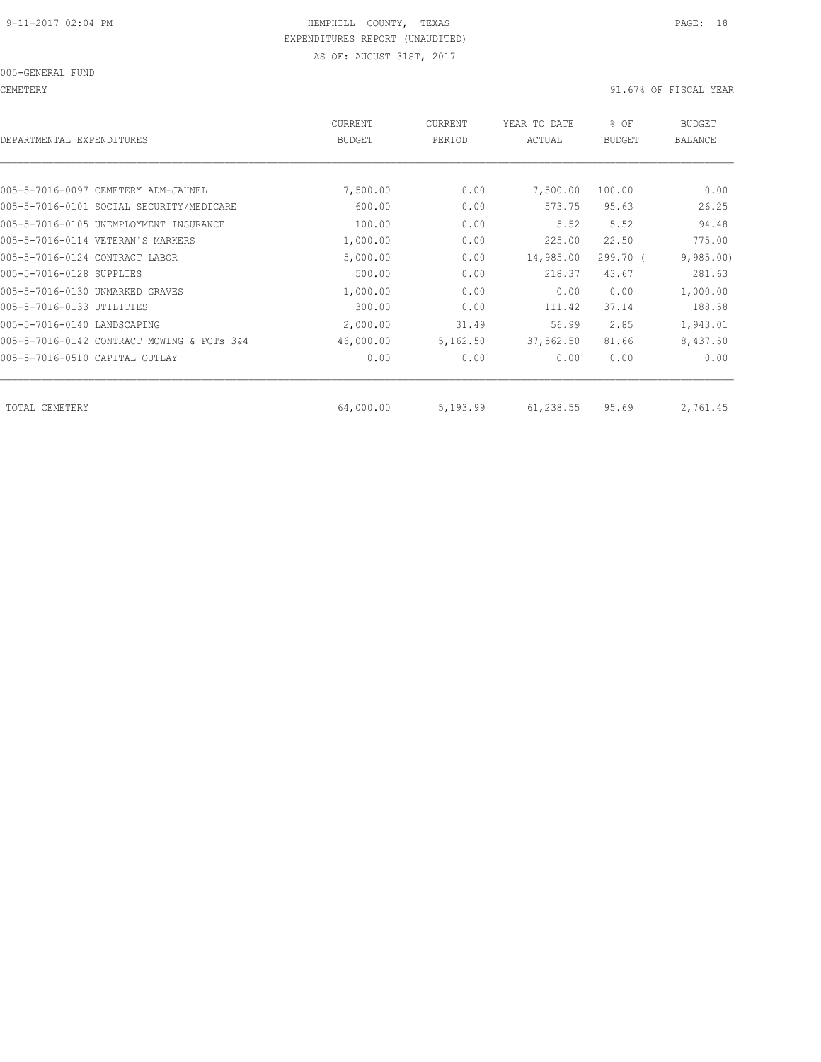CEMETERY 91.67% OF FISCAL YEAR

| DEPARTMENTAL EXPENDITURES                  | <b>CURRENT</b><br><b>BUDGET</b> | CURRENT<br>PERIOD | YEAR TO DATE<br>ACTUAL | % OF<br><b>BUDGET</b> | <b>BUDGET</b><br><b>BALANCE</b> |
|--------------------------------------------|---------------------------------|-------------------|------------------------|-----------------------|---------------------------------|
|                                            |                                 |                   |                        |                       |                                 |
| 005-5-7016-0097 CEMETERY ADM-JAHNEL        | 7,500.00                        | 0.00              | 7,500.00               | 100.00                | 0.00                            |
| 005-5-7016-0101 SOCIAL SECURITY/MEDICARE   | 600.00                          | 0.00              | 573.75                 | 95.63                 | 26.25                           |
| 005-5-7016-0105 UNEMPLOYMENT INSURANCE     | 100.00                          | 0.00              | 5.52                   | 5.52                  | 94.48                           |
| 005-5-7016-0114 VETERAN'S MARKERS          | 1,000.00                        | 0.00              | 225.00                 | 22.50                 | 775.00                          |
| 005-5-7016-0124 CONTRACT LABOR             | 5,000.00                        | 0.00              | 14,985.00              | 299.70 (              | 9,985.00                        |
| 005-5-7016-0128 SUPPLIES                   | 500.00                          | 0.00              | 218.37                 | 43.67                 | 281.63                          |
| 005-5-7016-0130 UNMARKED GRAVES            | 1,000.00                        | 0.00              | 0.00                   | 0.00                  | 1,000.00                        |
| 005-5-7016-0133 UTILITIES                  | 300.00                          | 0.00              | 111.42                 | 37.14                 | 188.58                          |
| 005-5-7016-0140 LANDSCAPING                | 2,000.00                        | 31.49             | 56.99                  | 2.85                  | 1,943.01                        |
| 005-5-7016-0142 CONTRACT MOWING & PCTs 3&4 | 46,000.00                       | 5,162.50          | 37,562.50              | 81.66                 | 8,437.50                        |
| 005-5-7016-0510 CAPITAL OUTLAY             | 0.00                            | 0.00              | 0.00                   | 0.00                  | 0.00                            |
| TOTAL CEMETERY                             | 64,000.00                       | 5,193.99          | 61,238.55              | 95.69                 | 2,761.45                        |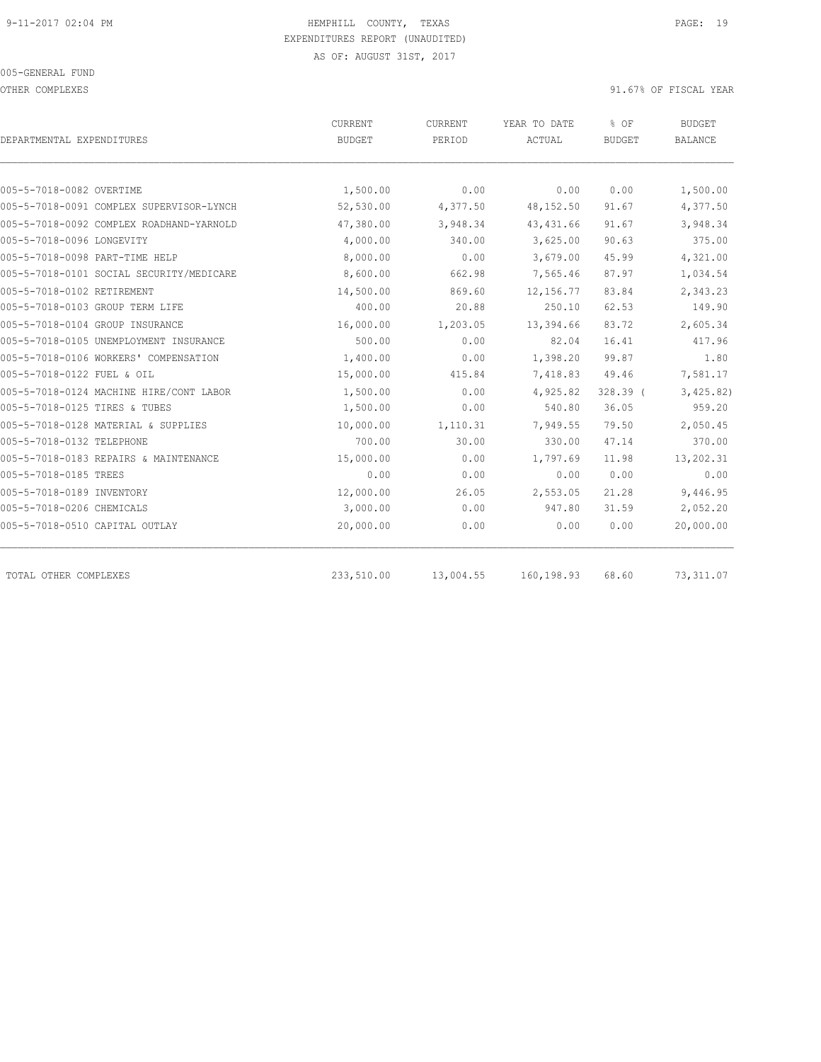OTHER COMPLEXES 91.67% OF FISCAL YEAR

|                                          | CURRENT    | CURRENT   | YEAR TO DATE | % OF          | <b>BUDGET</b>  |
|------------------------------------------|------------|-----------|--------------|---------------|----------------|
| DEPARTMENTAL EXPENDITURES                | BUDGET     | PERIOD    | ACTUAL       | <b>BUDGET</b> | <b>BALANCE</b> |
|                                          |            |           |              |               |                |
| 005-5-7018-0082 OVERTIME                 | 1,500.00   | 0.00      | 0.00         | 0.00          | 1,500.00       |
| 005-5-7018-0091 COMPLEX SUPERVISOR-LYNCH | 52,530.00  | 4,377.50  | 48, 152.50   | 91.67         | 4,377.50       |
| 005-5-7018-0092 COMPLEX ROADHAND-YARNOLD | 47,380.00  | 3,948.34  | 43, 431.66   | 91.67         | 3,948.34       |
| 005-5-7018-0096 LONGEVITY                | 4,000.00   | 340.00    | 3,625.00     | 90.63         | 375.00         |
| 005-5-7018-0098 PART-TIME HELP           | 8,000.00   | 0.00      | 3,679.00     | 45.99         | 4,321.00       |
| 005-5-7018-0101 SOCIAL SECURITY/MEDICARE | 8,600.00   | 662.98    | 7,565.46     | 87.97         | 1,034.54       |
| 005-5-7018-0102 RETIREMENT               | 14,500.00  | 869.60    | 12, 156.77   | 83.84         | 2,343.23       |
| 005-5-7018-0103 GROUP TERM LIFE          | 400.00     | 20.88     | 250.10       | 62.53         | 149.90         |
| 005-5-7018-0104 GROUP INSURANCE          | 16,000.00  | 1,203.05  | 13,394.66    | 83.72         | 2,605.34       |
| 005-5-7018-0105 UNEMPLOYMENT INSURANCE   | 500.00     | 0.00      | 82.04        | 16.41         | 417.96         |
| 005-5-7018-0106 WORKERS' COMPENSATION    | 1,400.00   | 0.00      | 1,398.20     | 99.87         | 1.80           |
| 005-5-7018-0122 FUEL & OIL               | 15,000.00  | 415.84    | 7,418.83     | 49.46         | 7,581.17       |
| 005-5-7018-0124 MACHINE HIRE/CONT LABOR  | 1,500.00   | 0.00      | 4,925.82     | $328.39$ (    | 3,425.82)      |
| 005-5-7018-0125 TIRES & TUBES            | 1,500.00   | 0.00      | 540.80       | 36.05         | 959.20         |
| 005-5-7018-0128 MATERIAL & SUPPLIES      | 10,000.00  | 1,110.31  | 7,949.55     | 79.50         | 2,050.45       |
| 005-5-7018-0132 TELEPHONE                | 700.00     | 30.00     | 330.00       | 47.14         | 370.00         |
| 005-5-7018-0183 REPAIRS & MAINTENANCE    | 15,000.00  | 0.00      | 1,797.69     | 11.98         | 13,202.31      |
| 005-5-7018-0185 TREES                    | 0.00       | 0.00      | 0.00         | 0.00          | 0.00           |
| 005-5-7018-0189 INVENTORY                | 12,000.00  | 26.05     | 2,553.05     | 21.28         | 9,446.95       |
| 005-5-7018-0206 CHEMICALS                | 3,000.00   | 0.00      | 947.80       | 31.59         | 2,052.20       |
| 005-5-7018-0510 CAPITAL OUTLAY           | 20,000.00  | 0.00      | 0.00         | 0.00          | 20,000.00      |
| TOTAL OTHER COMPLEXES                    | 233,510.00 | 13,004.55 | 160, 198.93  | 68.60         | 73, 311.07     |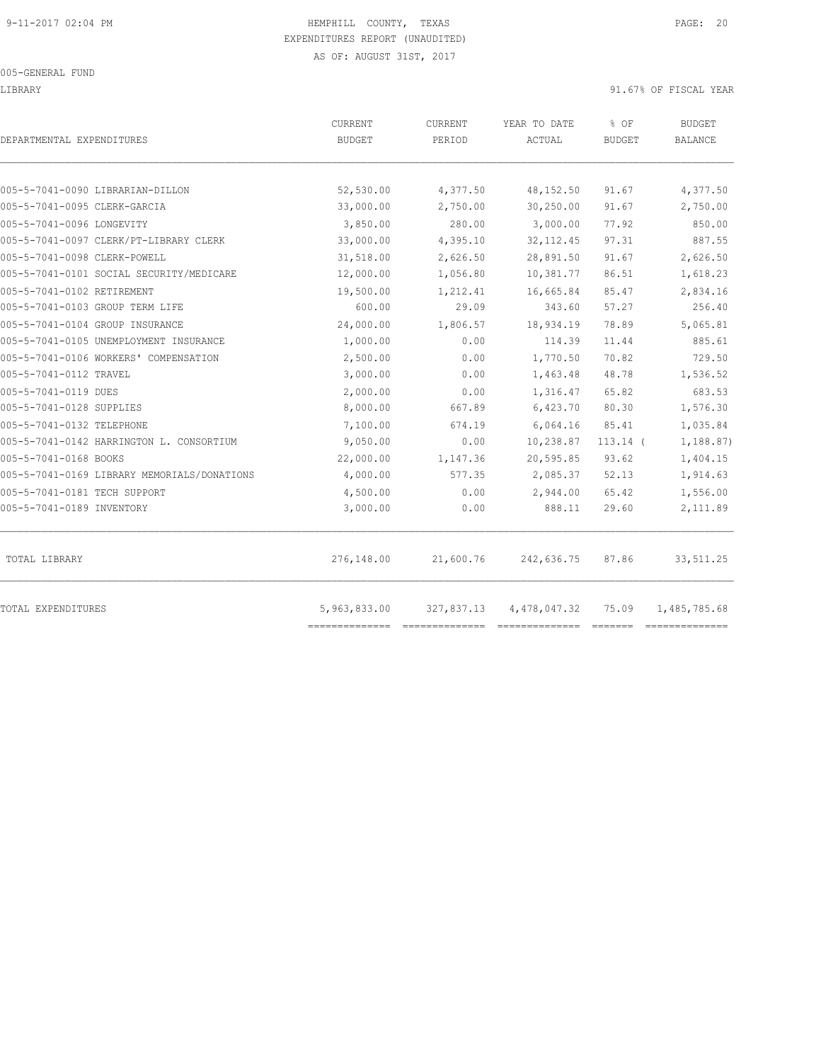LIBRARY 91.67% OF FISCAL YEAR

| DEPARTMENTAL EXPENDITURES                   | CURRENT<br><b>BUDGET</b> | CURRENT<br>PERIOD | YEAR TO DATE<br>ACTUAL | % OF<br><b>BUDGET</b> | <b>BUDGET</b><br><b>BALANCE</b> |
|---------------------------------------------|--------------------------|-------------------|------------------------|-----------------------|---------------------------------|
| 005-5-7041-0090 LIBRARIAN-DILLON            | 52,530.00                | 4,377.50          | 48, 152.50             | 91.67                 | 4,377.50                        |
| 005-5-7041-0095 CLERK-GARCIA                | 33,000.00                | 2,750.00          | 30,250.00              | 91.67                 | 2,750.00                        |
| 005-5-7041-0096 LONGEVITY                   | 3,850.00                 | 280.00            | 3,000.00               | 77.92                 | 850.00                          |
| 005-5-7041-0097 CLERK/PT-LIBRARY CLERK      | 33,000.00                | 4,395.10          | 32, 112.45             | 97.31                 | 887.55                          |
| 005-5-7041-0098 CLERK-POWELL                | 31,518.00                | 2,626.50          | 28,891.50              | 91.67                 | 2,626.50                        |
| 005-5-7041-0101 SOCIAL SECURITY/MEDICARE    | 12,000.00                | 1,056.80          | 10,381.77              | 86.51                 | 1,618.23                        |
| 005-5-7041-0102 RETIREMENT                  | 19,500.00                | 1,212.41          | 16,665.84              | 85.47                 | 2,834.16                        |
| 005-5-7041-0103 GROUP TERM LIFE             | 600.00                   | 29.09             | 343.60                 | 57.27                 | 256.40                          |
| 005-5-7041-0104 GROUP INSURANCE             | 24,000.00                | 1,806.57          | 18,934.19              | 78.89                 | 5,065.81                        |
| 005-5-7041-0105 UNEMPLOYMENT INSURANCE      | 1,000.00                 | 0.00              | 114.39                 | 11.44                 | 885.61                          |
| 005-5-7041-0106 WORKERS' COMPENSATION       | 2,500.00                 | 0.00              | 1,770.50               | 70.82                 | 729.50                          |
| 005-5-7041-0112 TRAVEL                      | 3,000.00                 | 0.00              | 1,463.48               | 48.78                 | 1,536.52                        |
| 005-5-7041-0119 DUES                        | 2,000.00                 | 0.00              | 1,316.47               | 65.82                 | 683.53                          |
| 005-5-7041-0128 SUPPLIES                    | 8,000.00                 | 667.89            | 6,423.70               | 80.30                 | 1,576.30                        |
| 005-5-7041-0132 TELEPHONE                   | 7,100.00                 | 674.19            | 6,064.16               | 85.41                 | 1,035.84                        |
| 005-5-7041-0142 HARRINGTON L. CONSORTIUM    | 9,050.00                 | 0.00              | 10,238.87              | $113.14$ (            | 1,188.87)                       |
| 005-5-7041-0168 BOOKS                       | 22,000.00                | 1,147.36          | 20,595.85              | 93.62                 | 1,404.15                        |
| 005-5-7041-0169 LIBRARY MEMORIALS/DONATIONS | 4,000.00                 | 577.35            | 2,085.37               | 52.13                 | 1,914.63                        |
| 005-5-7041-0181 TECH SUPPORT                | 4,500.00                 | 0.00              | 2,944.00               | 65.42                 | 1,556.00                        |
| 005-5-7041-0189 INVENTORY                   | 3,000.00                 | 0.00              | 888.11                 | 29.60                 | 2,111.89                        |
| TOTAL LIBRARY                               | 276,148.00               | 21,600.76         | 242,636.75             | 87.86                 | 33, 511.25                      |
| TOTAL EXPENDITURES                          | 5,963,833.00             | 327,837.13        | 4,478,047.32           | 75.09                 | 1,485,785.68                    |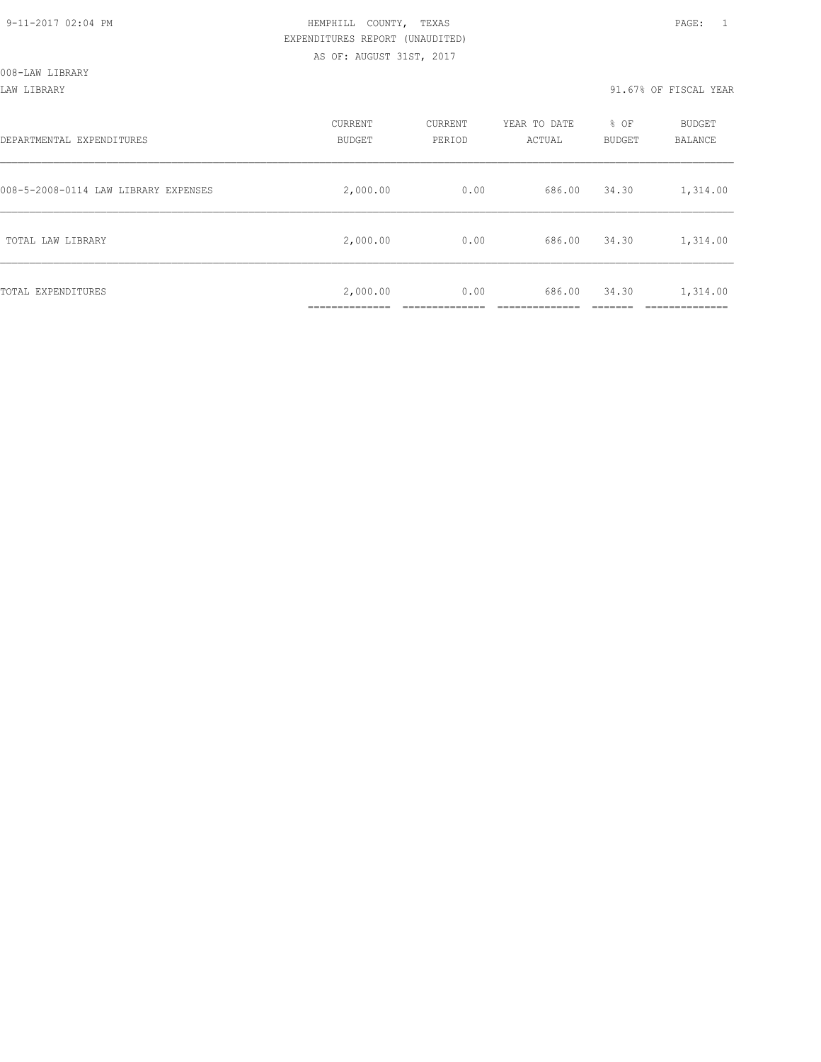LAW LIBRARY 91.67% OF FISCAL YEAR

| DEPARTMENTAL EXPENDITURES            | CURRENT<br><b>BUDGET</b>                    | CURRENT<br>PERIOD | YEAR TO DATE<br>ACTUAL | % OF<br><b>BUDGET</b> | <b>BUDGET</b><br>BALANCE |
|--------------------------------------|---------------------------------------------|-------------------|------------------------|-----------------------|--------------------------|
| 008-5-2008-0114 LAW LIBRARY EXPENSES | 2,000.00                                    | 0.00              | 686.00                 | 34.30                 | 1,314.00                 |
| TOTAL LAW LIBRARY                    | 2,000.00                                    | 0.00              | 686.00                 | 34.30                 | 1,314.00                 |
| TOTAL EXPENDITURES                   | 2,000.00<br>-------------<br>______________ | 0.00              | 686.00                 | 34.30                 | 1,314.00<br>__________   |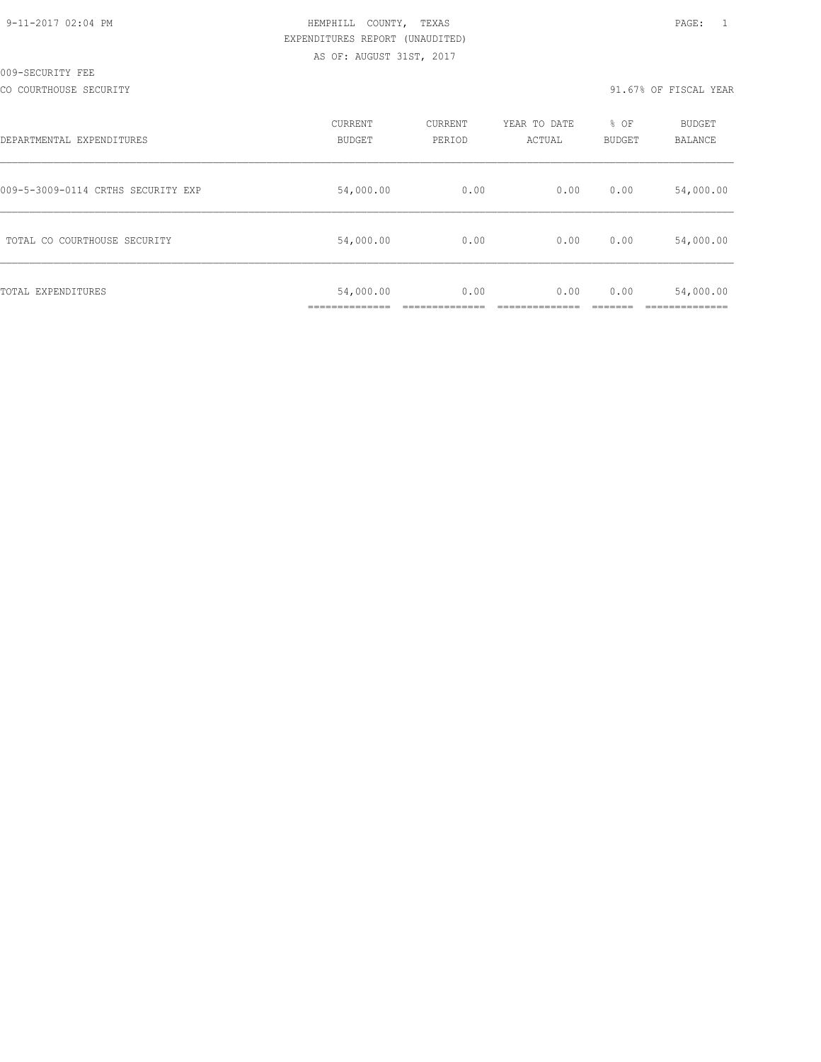CO COURTHOUSE SECURITY 91.67% OF FISCAL YEAR

| DEPARTMENTAL EXPENDITURES          | CURRENT<br><b>BUDGET</b>                    | CURRENT<br>PERIOD | YEAR TO DATE<br>ACTUAL | % OF<br><b>BUDGET</b> | <b>BUDGET</b><br>BALANCE |
|------------------------------------|---------------------------------------------|-------------------|------------------------|-----------------------|--------------------------|
| 009-5-3009-0114 CRTHS SECURITY EXP | 54,000.00                                   | 0.00              | 0.00                   | 0.00                  | 54,000.00                |
| TOTAL CO COURTHOUSE SECURITY       | 54,000.00                                   | 0.00              | 0.00                   | 0.00                  | 54,000.00                |
| TOTAL EXPENDITURES                 | 54,000.00<br>------------<br>______________ | 0.00              | 0.00                   | 0.00                  | 54,000.00                |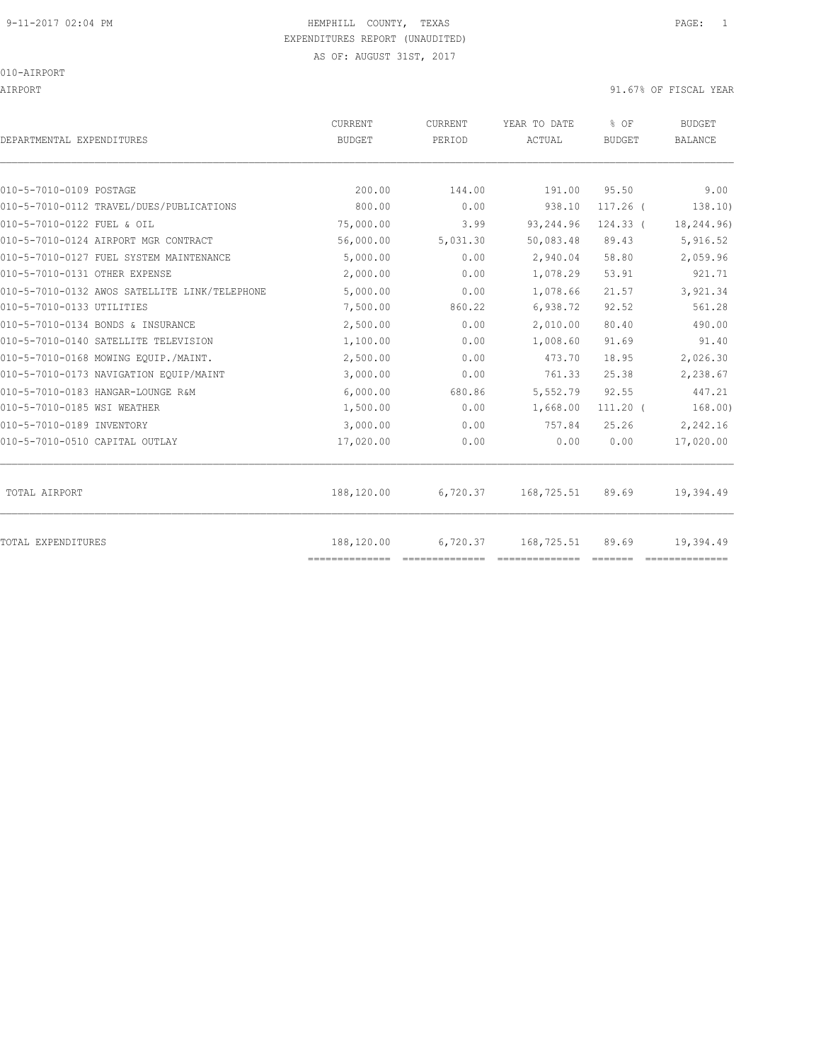010-AIRPORT

AIRPORT 31.67% OF FISCAL YEAR

| DEPARTMENTAL EXPENDITURES                     | CURRENT<br><b>BUDGET</b>     | CURRENT<br>PERIOD | YEAR TO DATE<br>ACTUAL | % OF<br><b>BUDGET</b> | <b>BUDGET</b><br><b>BALANCE</b> |
|-----------------------------------------------|------------------------------|-------------------|------------------------|-----------------------|---------------------------------|
| 010-5-7010-0109 POSTAGE                       | 200.00                       | 144.00            | 191.00                 | 95.50                 | 9.00                            |
| 010-5-7010-0112 TRAVEL/DUES/PUBLICATIONS      | 800.00                       | 0.00              | 938.10                 | $117.26$ (            | 138.10)                         |
| 010-5-7010-0122 FUEL & OIL                    | 75,000.00                    | 3.99              | 93,244.96              | $124.33$ (            | 18,244.96)                      |
| 010-5-7010-0124 AIRPORT MGR CONTRACT          | 56,000.00                    | 5,031.30          | 50,083.48              | 89.43                 | 5,916.52                        |
| 010-5-7010-0127 FUEL SYSTEM MAINTENANCE       | 5,000.00                     | 0.00              | 2,940.04               | 58.80                 | 2,059.96                        |
| 010-5-7010-0131 OTHER EXPENSE                 | 2,000.00                     | 0.00              | 1,078.29               | 53.91                 | 921.71                          |
| 010-5-7010-0132 AWOS SATELLITE LINK/TELEPHONE | 5,000.00                     | 0.00              | 1,078.66               | 21.57                 | 3,921.34                        |
| 010-5-7010-0133 UTILITIES                     | 7,500.00                     | 860.22            | 6,938.72               | 92.52                 | 561.28                          |
| 010-5-7010-0134 BONDS & INSURANCE             | 2,500.00                     | 0.00              | 2,010.00               | 80.40                 | 490.00                          |
| 010-5-7010-0140 SATELLITE TELEVISION          | 1,100.00                     | 0.00              | 1,008.60               | 91.69                 | 91.40                           |
| 010-5-7010-0168 MOWING EOUIP./MAINT.          | 2,500.00                     | 0.00              | 473.70                 | 18.95                 | 2,026.30                        |
| 010-5-7010-0173 NAVIGATION EQUIP/MAINT        | 3,000.00                     | 0.00              | 761.33                 | 25.38                 | 2,238.67                        |
| 010-5-7010-0183 HANGAR-LOUNGE R&M             | 6,000.00                     | 680.86            | 5,552.79               | 92.55                 | 447.21                          |
| 010-5-7010-0185 WSI WEATHER                   | 1,500.00                     | 0.00              | 1,668.00               | $111.20$ (            | 168.00)                         |
| 010-5-7010-0189 INVENTORY                     | 3,000.00                     | 0.00              | 757.84                 | 25.26                 | 2,242.16                        |
| 010-5-7010-0510 CAPITAL OUTLAY                | 17,020.00                    | 0.00              | 0.00                   | 0.00                  | 17,020.00                       |
| TOTAL AIRPORT                                 | 188,120.00                   | 6,720.37          | 168,725.51             | 89.69                 | 19,394.49                       |
| TOTAL EXPENDITURES                            | 188,120.00<br>============== | 6,720.37          | 168,725.51             | 89.69                 | 19,394.49                       |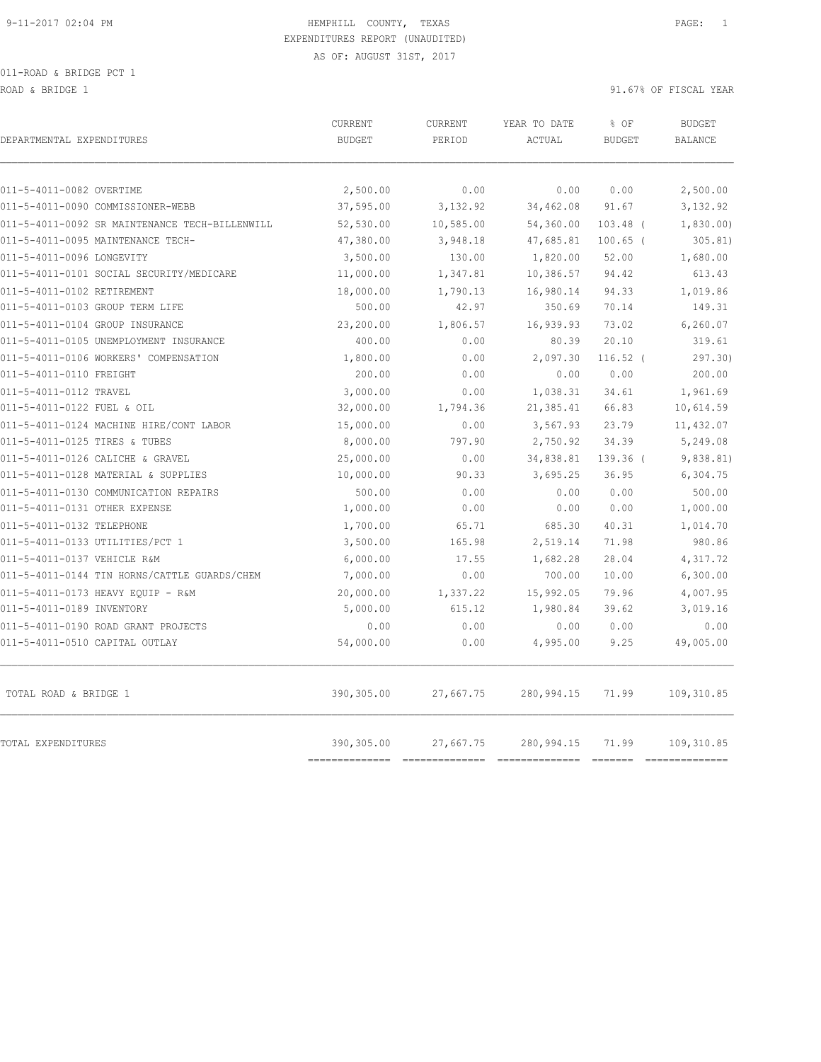ROAD & BRIDGE 1 91.67% OF FISCAL YEAR

| DEPARTMENTAL EXPENDITURES                      | CURRENT<br><b>BUDGET</b> | CURRENT<br>PERIOD | YEAR TO DATE<br>ACTUAL | % OF<br><b>BUDGET</b> | <b>BUDGET</b><br><b>BALANCE</b> |
|------------------------------------------------|--------------------------|-------------------|------------------------|-----------------------|---------------------------------|
| 011-5-4011-0082 OVERTIME                       | 2,500.00                 | 0.00              | 0.00                   | 0.00                  | 2,500.00                        |
| 011-5-4011-0090 COMMISSIONER-WEBB              | 37,595.00                | 3,132.92          | 34,462.08              | 91.67                 | 3,132.92                        |
| 011-5-4011-0092 SR MAINTENANCE TECH-BILLENWILL | 52,530.00                | 10,585.00         | 54,360.00              | $103.48$ (            | 1,830.00)                       |
| 011-5-4011-0095 MAINTENANCE TECH-              | 47,380.00                | 3,948.18          | 47,685.81              | $100.65$ (            | 305.81)                         |
| 011-5-4011-0096 LONGEVITY                      | 3,500.00                 | 130.00            | 1,820.00               | 52.00                 | 1,680.00                        |
| 011-5-4011-0101 SOCIAL SECURITY/MEDICARE       | 11,000.00                | 1,347.81          | 10,386.57              | 94.42                 | 613.43                          |
| 011-5-4011-0102 RETIREMENT                     | 18,000.00                | 1,790.13          | 16,980.14              | 94.33                 | 1,019.86                        |
| 011-5-4011-0103 GROUP TERM LIFE                | 500.00                   | 42.97             | 350.69                 | 70.14                 | 149.31                          |
| 011-5-4011-0104 GROUP INSURANCE                | 23,200.00                | 1,806.57          | 16,939.93              | 73.02                 | 6,260.07                        |
| 011-5-4011-0105 UNEMPLOYMENT INSURANCE         | 400.00                   | 0.00              | 80.39                  | 20.10                 | 319.61                          |
| 011-5-4011-0106 WORKERS' COMPENSATION          | 1,800.00                 | 0.00              | 2,097.30               | $116.52$ (            | 297.30                          |
| 011-5-4011-0110 FREIGHT                        | 200.00                   | 0.00              | 0.00                   | 0.00                  | 200.00                          |
| 011-5-4011-0112 TRAVEL                         | 3,000.00                 | 0.00              | 1,038.31               | 34.61                 | 1,961.69                        |
| 011-5-4011-0122 FUEL & OIL                     | 32,000.00                | 1,794.36          | 21,385.41              | 66.83                 | 10,614.59                       |
| 011-5-4011-0124 MACHINE HIRE/CONT LABOR        | 15,000.00                | 0.00              | 3,567.93               | 23.79                 | 11,432.07                       |
| 011-5-4011-0125 TIRES & TUBES                  | 8,000.00                 | 797.90            | 2,750.92               | 34.39                 | 5,249.08                        |
| 011-5-4011-0126 CALICHE & GRAVEL               | 25,000.00                | 0.00              | 34,838.81              | $139.36$ (            | 9,838.81)                       |
| 011-5-4011-0128 MATERIAL & SUPPLIES            | 10,000.00                | 90.33             | 3,695.25               | 36.95                 | 6,304.75                        |
| 011-5-4011-0130 COMMUNICATION REPAIRS          | 500.00                   | 0.00              | 0.00                   | 0.00                  | 500.00                          |
| 011-5-4011-0131 OTHER EXPENSE                  | 1,000.00                 | 0.00              | 0.00                   | 0.00                  | 1,000.00                        |
| 011-5-4011-0132 TELEPHONE                      | 1,700.00                 | 65.71             | 685.30                 | 40.31                 | 1,014.70                        |
| 011-5-4011-0133 UTILITIES/PCT 1                | 3,500.00                 | 165.98            | 2,519.14               | 71.98                 | 980.86                          |
| 011-5-4011-0137 VEHICLE R&M                    | 6,000.00                 | 17.55             | 1,682.28               | 28.04                 | 4,317.72                        |
| 011-5-4011-0144 TIN HORNS/CATTLE GUARDS/CHEM   | 7,000.00                 | 0.00              | 700.00                 | 10.00                 | 6,300.00                        |
| 011-5-4011-0173 HEAVY EQUIP - R&M              | 20,000.00                | 1,337.22          | 15,992.05              | 79.96                 | 4,007.95                        |
| 011-5-4011-0189 INVENTORY                      | 5,000.00                 | 615.12            | 1,980.84               | 39.62                 | 3,019.16                        |
| 011-5-4011-0190 ROAD GRANT PROJECTS            | 0.00                     | 0.00              | 0.00                   | 0.00                  | 0.00                            |
| 011-5-4011-0510 CAPITAL OUTLAY                 | 54,000.00                | 0.00              | 4,995.00               | 9.25                  | 49,005.00                       |
| TOTAL ROAD & BRIDGE 1                          | 390,305.00               | 27,667.75         | 280,994.15             | 71.99                 | 109,310.85                      |
| TOTAL EXPENDITURES                             | 390,305.00               | 27,667.75         | 280,994.15             | 71.99                 | 109,310.85                      |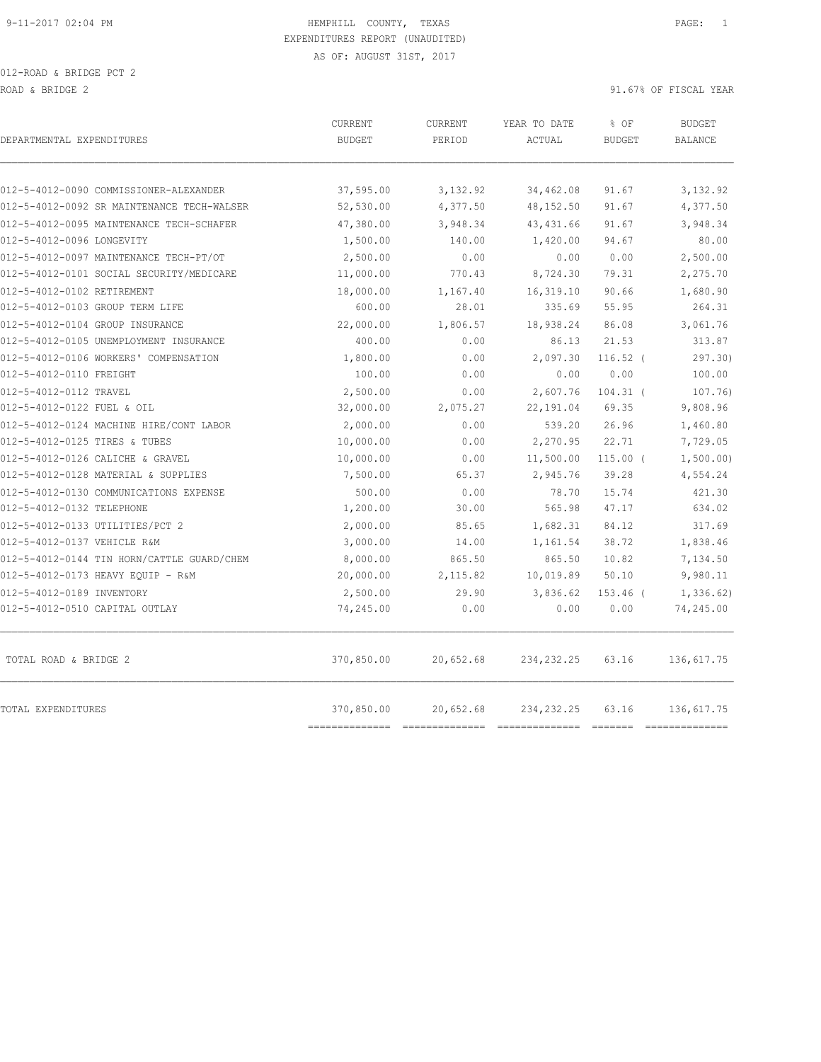012-ROAD & BRIDGE PCT 2 ROAD & BRIDGE 2 91.67% OF FISCAL YEAR (1999) AND ROAD & BRIDGE 2

| DEPARTMENTAL EXPENDITURES                  | CURRENT<br><b>BUDGET</b>     | <b>CURRENT</b><br>PERIOD | YEAR TO DATE<br>ACTUAL | % OF<br><b>BUDGET</b> | <b>BUDGET</b><br><b>BALANCE</b> |
|--------------------------------------------|------------------------------|--------------------------|------------------------|-----------------------|---------------------------------|
|                                            |                              |                          |                        |                       |                                 |
| 012-5-4012-0090 COMMISSIONER-ALEXANDER     | 37,595.00                    | 3,132.92                 | 34,462.08              | 91.67                 | 3,132.92                        |
| 012-5-4012-0092 SR MAINTENANCE TECH-WALSER | 52,530.00                    | 4,377.50                 | 48,152.50              | 91.67                 | 4,377.50                        |
| 012-5-4012-0095 MAINTENANCE TECH-SCHAFER   | 47,380.00                    | 3,948.34                 | 43, 431.66             | 91.67                 | 3,948.34                        |
| 012-5-4012-0096 LONGEVITY                  | 1,500.00                     | 140.00                   | 1,420.00               | 94.67                 | 80.00                           |
| 012-5-4012-0097 MAINTENANCE TECH-PT/OT     | 2,500.00                     | 0.00                     | 0.00                   | 0.00                  | 2,500.00                        |
| 012-5-4012-0101 SOCIAL SECURITY/MEDICARE   | 11,000.00                    | 770.43                   | 8,724.30               | 79.31                 | 2,275.70                        |
| 012-5-4012-0102 RETIREMENT                 | 18,000.00                    | 1,167.40                 | 16, 319.10             | 90.66                 | 1,680.90                        |
| 012-5-4012-0103 GROUP TERM LIFE            | 600.00                       | 28.01                    | 335.69                 | 55.95                 | 264.31                          |
| 012-5-4012-0104 GROUP INSURANCE            | 22,000.00                    | 1,806.57                 | 18,938.24              | 86.08                 | 3,061.76                        |
| 012-5-4012-0105 UNEMPLOYMENT INSURANCE     | 400.00                       | 0.00                     | 86.13                  | 21.53                 | 313.87                          |
| 012-5-4012-0106 WORKERS' COMPENSATION      | 1,800.00                     | 0.00                     | 2,097.30               | $116.52$ (            | 297.30)                         |
| 012-5-4012-0110 FREIGHT                    | 100.00                       | 0.00                     | 0.00                   | 0.00                  | 100.00                          |
| 012-5-4012-0112 TRAVEL                     | 2,500.00                     | 0.00                     | 2,607.76               | $104.31$ (            | 107.76)                         |
| 012-5-4012-0122 FUEL & OIL                 | 32,000.00                    | 2,075.27                 | 22, 191.04             | 69.35                 | 9,808.96                        |
| 012-5-4012-0124 MACHINE HIRE/CONT LABOR    | 2,000.00                     | 0.00                     | 539.20                 | 26.96                 | 1,460.80                        |
| 012-5-4012-0125 TIRES & TUBES              | 10,000.00                    | 0.00                     | 2,270.95               | 22.71                 | 7,729.05                        |
| 012-5-4012-0126 CALICHE & GRAVEL           | 10,000.00                    | 0.00                     | 11,500.00              | $115.00$ (            | 1,500.00)                       |
| 012-5-4012-0128 MATERIAL & SUPPLIES        | 7,500.00                     | 65.37                    | 2,945.76               | 39.28                 | 4,554.24                        |
| 012-5-4012-0130 COMMUNICATIONS EXPENSE     | 500.00                       | 0.00                     | 78.70                  | 15.74                 | 421.30                          |
| 012-5-4012-0132 TELEPHONE                  | 1,200.00                     | 30.00                    | 565.98                 | 47.17                 | 634.02                          |
| 012-5-4012-0133 UTILITIES/PCT 2            | 2,000.00                     | 85.65                    | 1,682.31               | 84.12                 | 317.69                          |
| 012-5-4012-0137 VEHICLE R&M                | 3,000.00                     | 14.00                    | 1,161.54               | 38.72                 | 1,838.46                        |
| 012-5-4012-0144 TIN HORN/CATTLE GUARD/CHEM | 8,000.00                     | 865.50                   | 865.50                 | 10.82                 | 7,134.50                        |
| 012-5-4012-0173 HEAVY EQUIP - R&M          | 20,000.00                    | 2,115.82                 | 10,019.89              | 50.10                 | 9,980.11                        |
| 012-5-4012-0189 INVENTORY                  | 2,500.00                     | 29.90                    | 3,836.62               | $153.46$ (            | 1,336.62)                       |
| 012-5-4012-0510 CAPITAL OUTLAY             | 74,245.00                    | 0.00                     | 0.00                   | 0.00                  | 74,245.00                       |
| TOTAL ROAD & BRIDGE 2                      | 370,850.00                   | 20,652.68                | 234, 232. 25           | 63.16                 | 136,617.75                      |
| TOTAL EXPENDITURES                         | 370,850.00<br>-------------- | 20,652.68                | 234, 232.25            | 63.16                 | 136,617.75<br>==============    |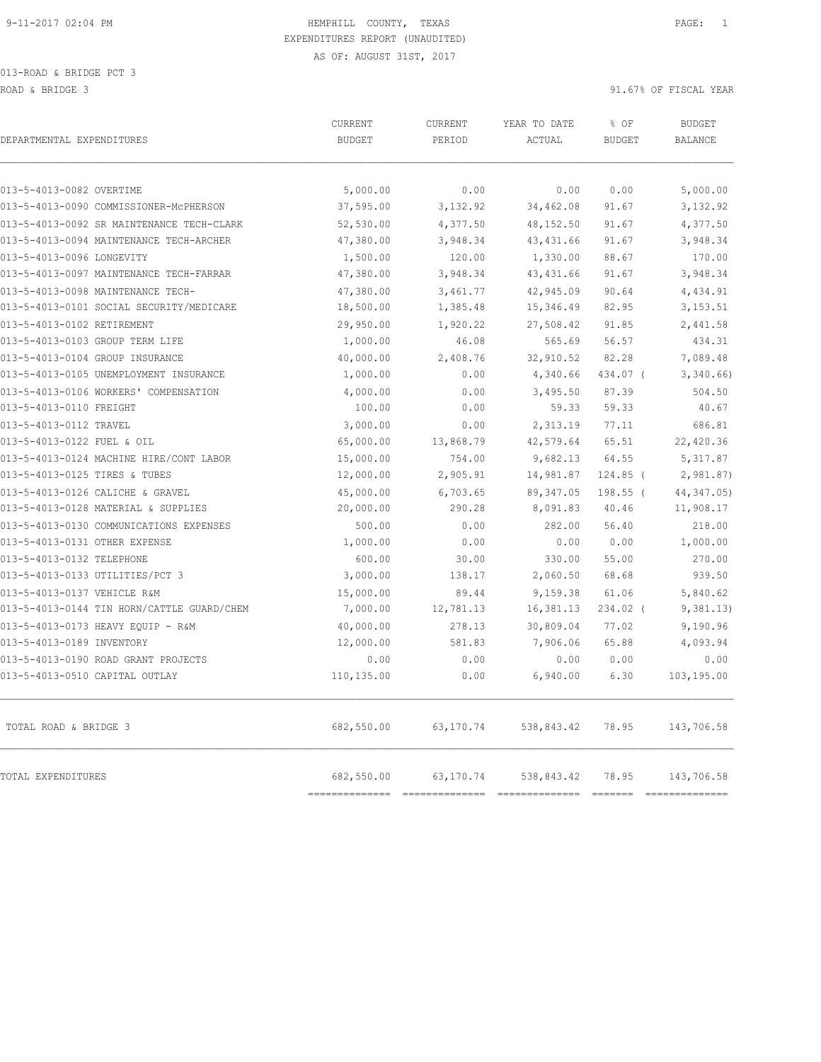| DEPARTMENTAL EXPENDITURES                  | CURRENT<br><b>BUDGET</b> | CURRENT<br>PERIOD | YEAR TO DATE<br>ACTUAL | % OF<br><b>BUDGET</b> | <b>BUDGET</b><br><b>BALANCE</b> |
|--------------------------------------------|--------------------------|-------------------|------------------------|-----------------------|---------------------------------|
| 013-5-4013-0082 OVERTIME                   | 5,000.00                 | 0.00              | 0.00                   | 0.00                  | 5,000.00                        |
| 013-5-4013-0090 COMMISSIONER-McPHERSON     | 37,595.00                | 3,132.92          | 34,462.08              | 91.67                 | 3,132.92                        |
| 013-5-4013-0092 SR MAINTENANCE TECH-CLARK  | 52,530.00                | 4,377.50          | 48, 152.50             | 91.67                 | 4,377.50                        |
| 013-5-4013-0094 MAINTENANCE TECH-ARCHER    | 47,380.00                | 3,948.34          | 43, 431.66             | 91.67                 | 3,948.34                        |
| 013-5-4013-0096 LONGEVITY                  | 1,500.00                 | 120.00            | 1,330.00               | 88.67                 | 170.00                          |
| 013-5-4013-0097 MAINTENANCE TECH-FARRAR    | 47,380.00                | 3,948.34          | 43, 431.66             | 91.67                 | 3,948.34                        |
| 013-5-4013-0098 MAINTENANCE TECH-          | 47,380.00                | 3,461.77          | 42,945.09              | 90.64                 | 4,434.91                        |
| 013-5-4013-0101 SOCIAL SECURITY/MEDICARE   | 18,500.00                | 1,385.48          | 15,346.49              | 82.95                 | 3,153.51                        |
| 013-5-4013-0102 RETIREMENT                 | 29,950.00                | 1,920.22          | 27,508.42              | 91.85                 | 2,441.58                        |
| 013-5-4013-0103 GROUP TERM LIFE            | 1,000.00                 | 46.08             | 565.69                 | 56.57                 | 434.31                          |
| 013-5-4013-0104 GROUP INSURANCE            | 40,000.00                | 2,408.76          | 32,910.52              | 82.28                 | 7,089.48                        |
| 013-5-4013-0105 UNEMPLOYMENT INSURANCE     | 1,000.00                 | 0.00              | 4,340.66               | 434.07 (              | 3,340.66                        |
| 013-5-4013-0106 WORKERS' COMPENSATION      | 4,000.00                 | 0.00              | 3,495.50               | 87.39                 | 504.50                          |
| 013-5-4013-0110 FREIGHT                    | 100.00                   | 0.00              | 59.33                  | 59.33                 | 40.67                           |
| 013-5-4013-0112 TRAVEL                     | 3,000.00                 | 0.00              | 2,313.19               | 77.11                 | 686.81                          |
| 013-5-4013-0122 FUEL & OIL                 | 65,000.00                | 13,868.79         | 42,579.64              | 65.51                 | 22,420.36                       |
| 013-5-4013-0124 MACHINE HIRE/CONT LABOR    | 15,000.00                | 754.00            | 9,682.13               | 64.55                 | 5,317.87                        |
| 013-5-4013-0125 TIRES & TUBES              | 12,000.00                | 2,905.91          | 14,981.87              | $124.85$ (            | 2,981.87)                       |
| 013-5-4013-0126 CALICHE & GRAVEL           | 45,000.00                | 6,703.65          | 89, 347.05             | $198.55$ (            | 44, 347.05)                     |
| 013-5-4013-0128 MATERIAL & SUPPLIES        | 20,000.00                | 290.28            | 8,091.83               | 40.46                 | 11,908.17                       |
| 013-5-4013-0130 COMMUNICATIONS EXPENSES    | 500.00                   | 0.00              | 282.00                 | 56.40                 | 218.00                          |
| 013-5-4013-0131 OTHER EXPENSE              | 1,000.00                 | 0.00              | 0.00                   | 0.00                  | 1,000.00                        |
| 013-5-4013-0132 TELEPHONE                  | 600.00                   | 30.00             | 330.00                 | 55.00                 | 270.00                          |
| 013-5-4013-0133 UTILITIES/PCT 3            | 3,000.00                 | 138.17            | 2,060.50               | 68.68                 | 939.50                          |
| 013-5-4013-0137 VEHICLE R&M                | 15,000.00                | 89.44             | 9,159.38               | 61.06                 | 5,840.62                        |
| 013-5-4013-0144 TIN HORN/CATTLE GUARD/CHEM | 7,000.00                 | 12,781.13         | 16,381.13              | 234.02 (              | 9,381.13)                       |
| 013-5-4013-0173 HEAVY EQUIP - R&M          | 40,000.00                | 278.13            | 30,809.04              | 77.02                 | 9,190.96                        |
| 013-5-4013-0189 INVENTORY                  | 12,000.00                | 581.83            | 7,906.06               | 65.88                 | 4,093.94                        |
| 013-5-4013-0190 ROAD GRANT PROJECTS        | 0.00                     | 0.00              | 0.00                   | 0.00                  | 0.00                            |
| 013-5-4013-0510 CAPITAL OUTLAY             | 110,135.00               | 0.00              | 6,940.00               | 6.30                  | 103,195.00                      |
| TOTAL ROAD & BRIDGE 3                      | 682,550.00               | 63,170.74         | 538,843.42             | 78.95                 | 143,706.58                      |
| TOTAL EXPENDITURES                         | 682,550.00               | 63,170.74         | 538,843.42             | 78.95                 | 143,706.58                      |

============== ============== ============== ======= ==============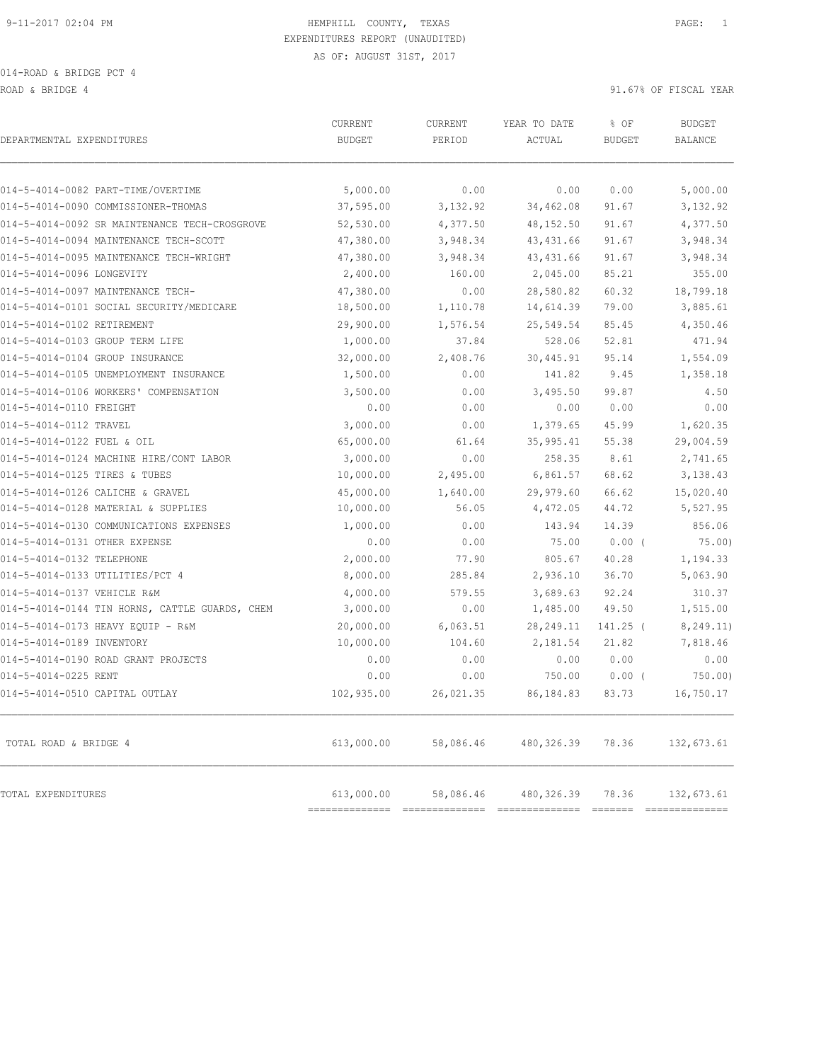ROAD & BRIDGE 4 91.67% OF FISCAL YEAR (1999) AND ROAD & BRIDGE 4

| 0.00<br>3,132.92<br>4,377.50<br>3,948.34 | 0.00<br>34,462.08                                                                                                                                                           | 0.00                                                                                                                                                            | 5,000.00                                                                                                                |
|------------------------------------------|-----------------------------------------------------------------------------------------------------------------------------------------------------------------------------|-----------------------------------------------------------------------------------------------------------------------------------------------------------------|-------------------------------------------------------------------------------------------------------------------------|
|                                          |                                                                                                                                                                             |                                                                                                                                                                 |                                                                                                                         |
|                                          |                                                                                                                                                                             |                                                                                                                                                                 |                                                                                                                         |
|                                          |                                                                                                                                                                             | 91.67                                                                                                                                                           | 3,132.92                                                                                                                |
|                                          | 48, 152.50                                                                                                                                                                  | 91.67                                                                                                                                                           | 4,377.50                                                                                                                |
|                                          | 43, 431.66                                                                                                                                                                  | 91.67                                                                                                                                                           | 3,948.34                                                                                                                |
| 3,948.34                                 | 43, 431.66                                                                                                                                                                  | 91.67                                                                                                                                                           | 3,948.34                                                                                                                |
|                                          |                                                                                                                                                                             |                                                                                                                                                                 | 355.00                                                                                                                  |
|                                          |                                                                                                                                                                             |                                                                                                                                                                 | 18,799.18                                                                                                               |
|                                          |                                                                                                                                                                             |                                                                                                                                                                 | 3,885.61                                                                                                                |
|                                          |                                                                                                                                                                             |                                                                                                                                                                 | 4,350.46                                                                                                                |
|                                          |                                                                                                                                                                             |                                                                                                                                                                 | 471.94                                                                                                                  |
|                                          |                                                                                                                                                                             |                                                                                                                                                                 | 1,554.09                                                                                                                |
|                                          |                                                                                                                                                                             |                                                                                                                                                                 | 1,358.18                                                                                                                |
|                                          |                                                                                                                                                                             |                                                                                                                                                                 | 4.50                                                                                                                    |
|                                          |                                                                                                                                                                             |                                                                                                                                                                 | 0.00                                                                                                                    |
|                                          |                                                                                                                                                                             |                                                                                                                                                                 | 1,620.35                                                                                                                |
|                                          |                                                                                                                                                                             |                                                                                                                                                                 | 29,004.59                                                                                                               |
|                                          |                                                                                                                                                                             |                                                                                                                                                                 | 2,741.65                                                                                                                |
|                                          |                                                                                                                                                                             |                                                                                                                                                                 | 3,138.43                                                                                                                |
|                                          | 29,979.60                                                                                                                                                                   | 66.62                                                                                                                                                           | 15,020.40                                                                                                               |
| 56.05                                    |                                                                                                                                                                             |                                                                                                                                                                 | 5,527.95                                                                                                                |
| 0.00                                     | 143.94                                                                                                                                                                      | 14.39                                                                                                                                                           | 856.06                                                                                                                  |
| 0.00                                     | 75.00                                                                                                                                                                       | $0.00$ (                                                                                                                                                        | 75.00)                                                                                                                  |
| 77.90                                    | 805.67                                                                                                                                                                      | 40.28                                                                                                                                                           | 1,194.33                                                                                                                |
| 285.84                                   | 2,936.10                                                                                                                                                                    | 36.70                                                                                                                                                           | 5,063.90                                                                                                                |
| 579.55                                   | 3,689.63                                                                                                                                                                    | 92.24                                                                                                                                                           | 310.37                                                                                                                  |
| 0.00                                     | 1,485.00                                                                                                                                                                    | 49.50                                                                                                                                                           | 1,515.00                                                                                                                |
| 6,063.51                                 | 28, 249. 11                                                                                                                                                                 | 141.25 (                                                                                                                                                        | 8, 249.11)                                                                                                              |
| 104.60                                   | 2,181.54                                                                                                                                                                    | 21.82                                                                                                                                                           | 7,818.46                                                                                                                |
| 0.00                                     | 0.00                                                                                                                                                                        | 0.00                                                                                                                                                            | 0.00                                                                                                                    |
| 0.00                                     | 750.00                                                                                                                                                                      | $0.00$ (                                                                                                                                                        | 750.00)                                                                                                                 |
|                                          | 86, 184.83                                                                                                                                                                  | 83.73                                                                                                                                                           | 16,750.17                                                                                                               |
|                                          | 480, 326.39                                                                                                                                                                 | 78.36                                                                                                                                                           | 132,673.61                                                                                                              |
|                                          | 480, 326.39                                                                                                                                                                 | 78.36                                                                                                                                                           | 132,673.61                                                                                                              |
|                                          | 160.00<br>0.00<br>1,110.78<br>1,576.54<br>37.84<br>2,408.76<br>0.00<br>0.00<br>0.00<br>0.00<br>61.64<br>0.00<br>2,495.00<br>1,640.00<br>26,021.35<br>58,086.46<br>58,086.46 | 2,045.00<br>28,580.82<br>14,614.39<br>25,549.54<br>528.06<br>30,445.91<br>141.82<br>3,495.50<br>0.00<br>1,379.65<br>35,995.41<br>258.35<br>6,861.57<br>4,472.05 | 85.21<br>60.32<br>79.00<br>85.45<br>52.81<br>95.14<br>9.45<br>99.87<br>0.00<br>45.99<br>55.38<br>8.61<br>68.62<br>44.72 |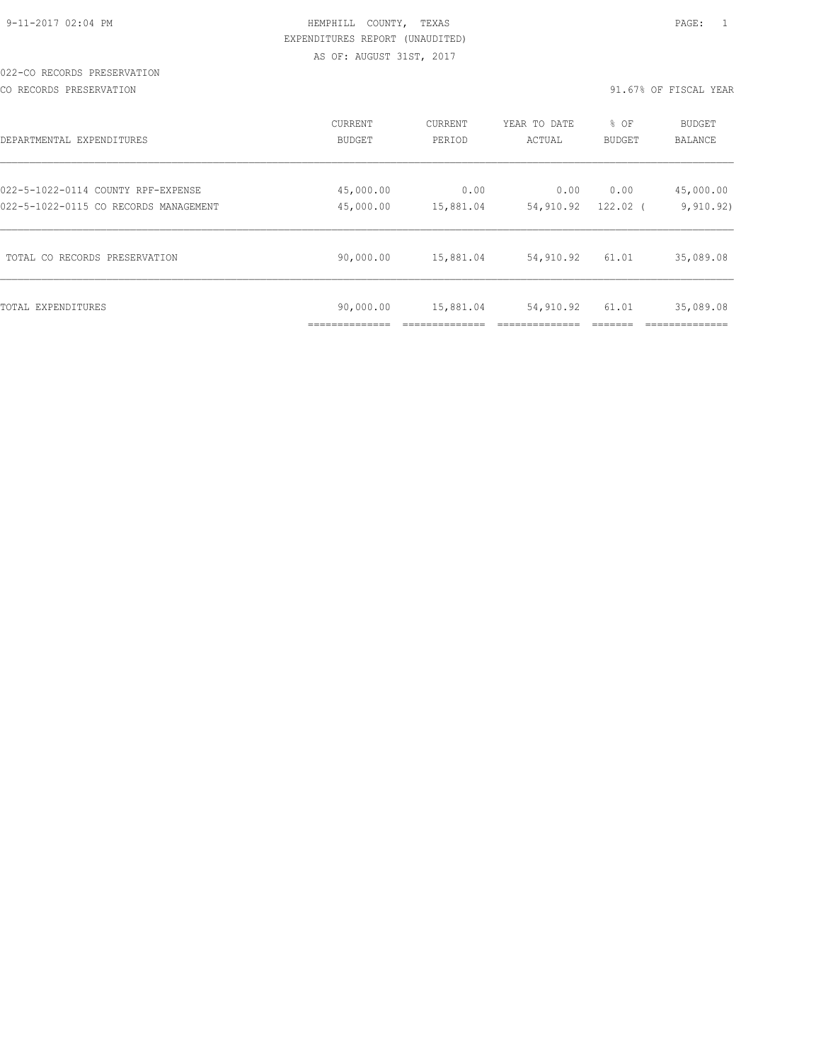#### 022-CO RECORDS PRESERVATION

CO RECORDS PRESERVATION 91.67% OF FISCAL YEAR

| DEPARTMENTAL EXPENDITURES             | CURRENT                    | CURRENT   | YEAR TO DATE | % OF       | <b>BUDGET</b> |
|---------------------------------------|----------------------------|-----------|--------------|------------|---------------|
|                                       | BUDGET                     | PERIOD    | ACTUAL       | BUDGET     | BALANCE       |
| 022-5-1022-0114 COUNTY RPF-EXPENSE    | 45,000.00                  | 0.00      | 0.00         | 0.00       | 45,000.00     |
| 022-5-1022-0115 CO RECORDS MANAGEMENT | 45,000.00                  | 15,881.04 | 54,910.92    | $122.02$ ( | 9,910.92)     |
| TOTAL CO RECORDS PRESERVATION         | 90,000.00                  | 15,881.04 | 54,910.92    | 61.01      | 35,089.08     |
| TOTAL EXPENDITURES                    | 90,000.00<br>_____________ | 15,881.04 | 54,910.92    | 61.01      | 35,089.08     |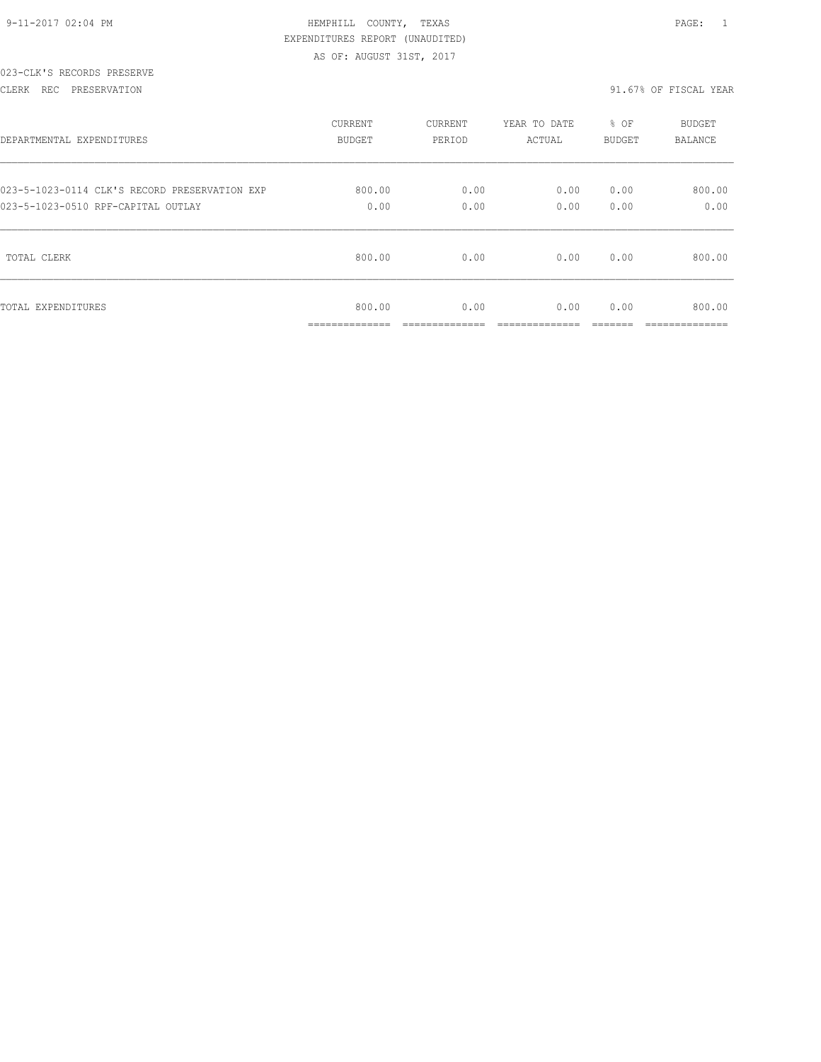#### 023-CLK'S RECORDS PRESERVE

#### CLERK REC PRESERVATION 91.67% OF FISCAL YEAR

| DEPARTMENTAL EXPENDITURES                     | <b>CURRENT</b>                      | CURRENT                | YEAR TO DATE            | % OF   | <b>BUDGET</b>            |
|-----------------------------------------------|-------------------------------------|------------------------|-------------------------|--------|--------------------------|
|                                               | <b>BUDGET</b>                       | PERIOD                 | ACTUAL                  | BUDGET | BALANCE                  |
| 023-5-1023-0114 CLK'S RECORD PRESERVATION EXP | 800.00                              | 0.00                   | 0.00                    | 0.00   | 800.00                   |
| 023-5-1023-0510 RPF-CAPITAL OUTLAY            | 0.00                                | 0.00                   | 0.00                    | 0.00   | 0.00                     |
| TOTAL CLERK                                   | 800.00                              | 0.00                   | 0.00                    | 0.00   | 800.00                   |
| <b>TOTAL EXPENDITURES</b>                     | 800.00<br>______________<br>_______ | 0.00<br>______________ | 0.00<br>--------------- | 0.00   | 800.00<br>-------------- |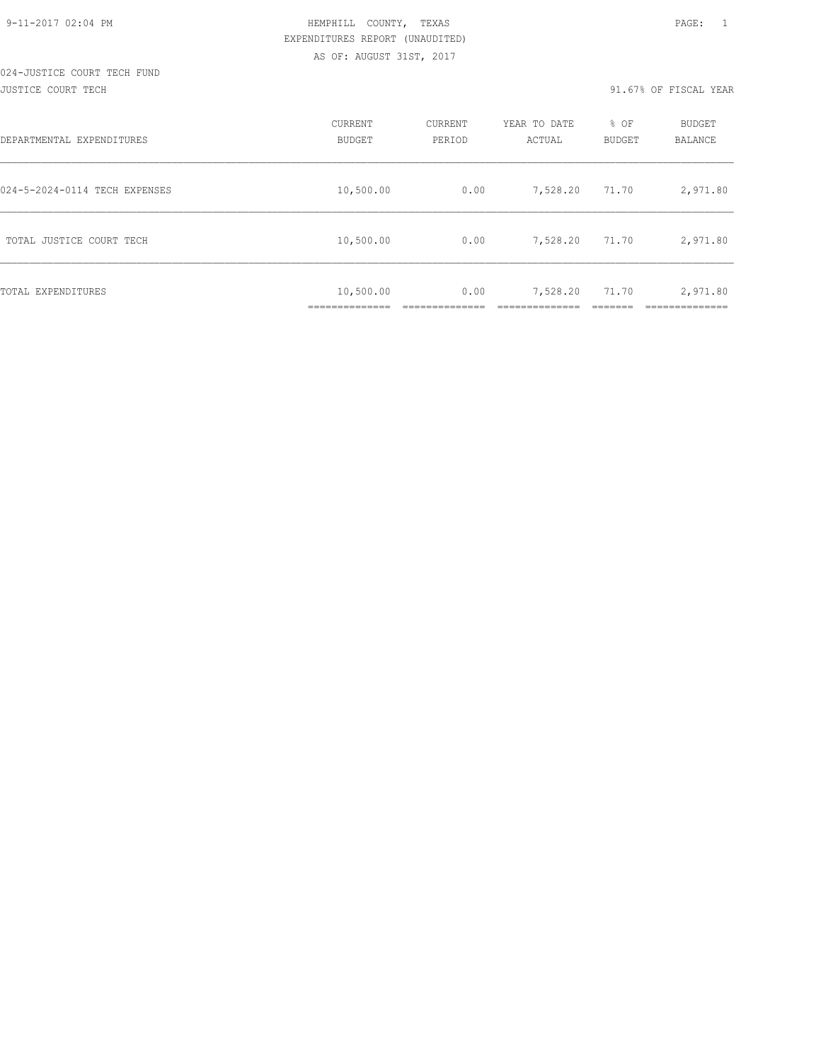| DEPARTMENTAL EXPENDITURES     | CURRENT<br><b>BUDGET</b>                     | CURRENT<br>PERIOD | YEAR TO DATE<br>ACTUAL | % OF<br><b>BUDGET</b> | BUDGET<br><b>BALANCE</b> |
|-------------------------------|----------------------------------------------|-------------------|------------------------|-----------------------|--------------------------|
| 024-5-2024-0114 TECH EXPENSES | 10,500.00                                    | 0.00              | 7,528.20               | 71.70                 | 2,971.80                 |
| TOTAL JUSTICE COURT TECH      | 10,500.00                                    | 0.00              | 7,528.20               | 71.70                 | 2,971.80                 |
| TOTAL EXPENDITURES            | 10,500.00<br>-------------<br>______________ | 0.00              | 7,528.20               | 71.70                 | 2,971.80<br>__________   |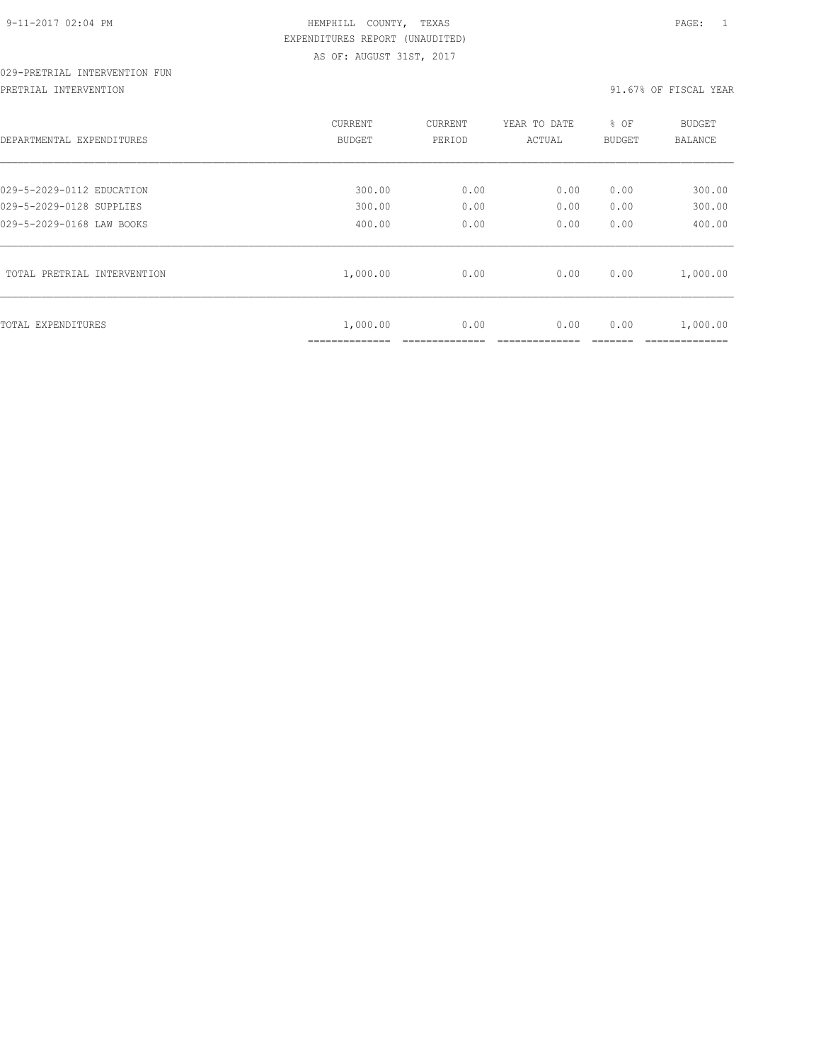# 029-PRETRIAL INTERVENTION FUN

PRETRIAL INTERVENTION **1999** CHA STREAM STREAM STREAM STREAM STREAM STREAM STREAM STREAM STREAM STREAM STREAM STR

| DEPARTMENTAL EXPENDITURES   | <b>CURRENT</b><br><b>BUDGET</b>           | CURRENT<br>PERIOD | YEAR TO DATE<br>ACTUAL | % OF<br><b>BUDGET</b> | BUDGET<br><b>BALANCE</b>   |
|-----------------------------|-------------------------------------------|-------------------|------------------------|-----------------------|----------------------------|
|                             |                                           |                   |                        |                       |                            |
| 029-5-2029-0112 EDUCATION   | 300.00                                    | 0.00              | 0.00                   | 0.00                  | 300.00                     |
| 029-5-2029-0128 SUPPLIES    | 300.00                                    | 0.00              | 0.00                   | 0.00                  | 300.00                     |
| 029-5-2029-0168 LAW BOOKS   | 400.00                                    | 0.00              | 0.00                   | 0.00                  | 400.00                     |
| TOTAL PRETRIAL INTERVENTION | 1,000.00                                  | 0.00              | 0.00                   | 0.00                  | 1,000.00                   |
| <b>TOTAL EXPENDITURES</b>   | 1,000.00<br>---------------<br>---------- | 0.00              | 0.00                   | 0.00                  | 1,000.00<br>-------------- |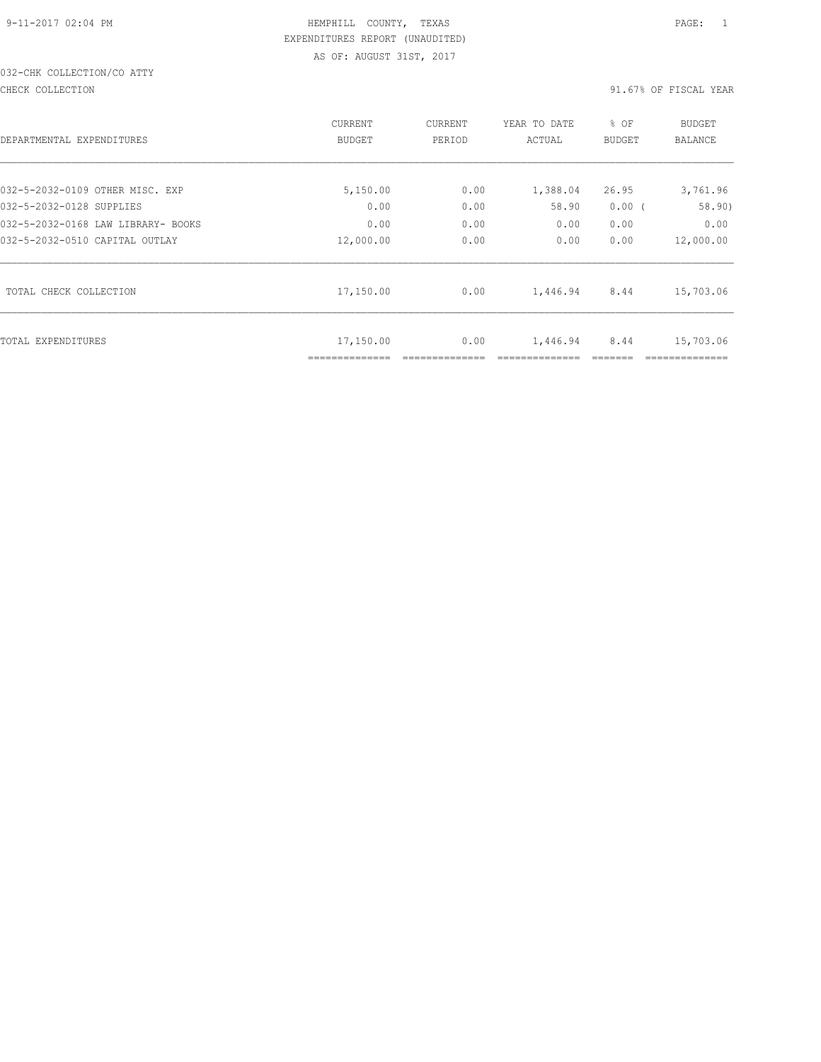# 032-CHK COLLECTION/CO ATTY

#### CHECK COLLECTION 91.67% OF FISCAL YEAR

| DEPARTMENTAL EXPENDITURES          | CURRENT<br><b>BUDGET</b>    | CURRENT<br>PERIOD | YEAR TO DATE<br>ACTUAL | % OF<br><b>BUDGET</b> | BUDGET<br><b>BALANCE</b> |
|------------------------------------|-----------------------------|-------------------|------------------------|-----------------------|--------------------------|
| 032-5-2032-0109 OTHER MISC. EXP    | 5,150.00                    | 0.00              | 1,388.04               | 26.95                 | 3,761.96                 |
| 032-5-2032-0128 SUPPLIES           | 0.00                        | 0.00              | 58.90                  | $0.00$ (              | 58.90)                   |
| 032-5-2032-0168 LAW LIBRARY- BOOKS | 0.00                        | 0.00              | 0.00                   | 0.00                  | 0.00                     |
| 032-5-2032-0510 CAPITAL OUTLAY     | 12,000.00                   | 0.00              | 0.00                   | 0.00                  | 12,000.00                |
| TOTAL CHECK COLLECTION             | 17,150.00                   | 0.00              | 1,446.94               | 8.44                  | 15,703.06                |
| TOTAL EXPENDITURES                 | 17,150.00<br>============== | 0.00              | 1,446.94               | 8.44                  | 15,703.06                |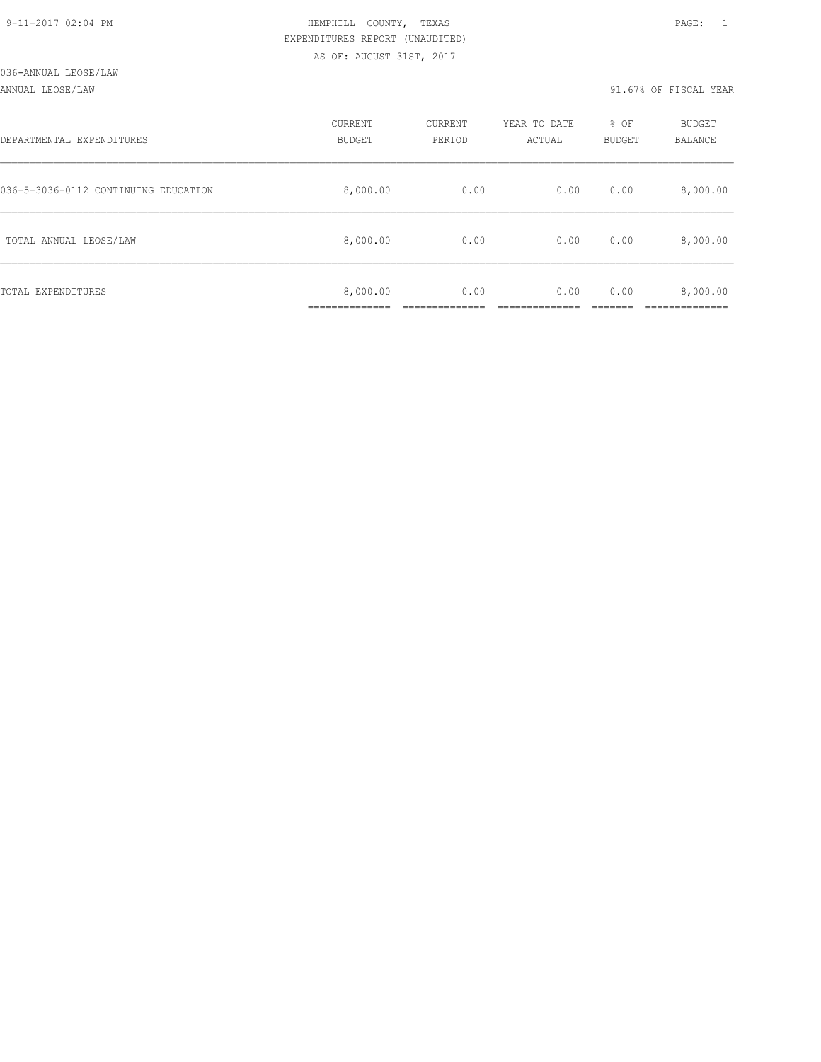#### ANNUAL LEOSE/LAW 91.67% OF FISCAL YEAR

| DEPARTMENTAL EXPENDITURES            | CURRENT<br><b>BUDGET</b> | CURRENT<br>PERIOD | YEAR TO DATE<br>ACTUAL | % OF<br>BUDGET | BUDGET<br>BALANCE |
|--------------------------------------|--------------------------|-------------------|------------------------|----------------|-------------------|
| 036-5-3036-0112 CONTINUING EDUCATION | 8,000.00                 | 0.00              | 0.00                   | 0.00           | 8,000.00          |
| TOTAL ANNUAL LEOSE/LAW               | 8,000.00                 | 0.00              | 0.00                   | 0.00           | 8,000.00          |
| TOTAL EXPENDITURES                   | 8,000.00<br>___________  | 0.00              | 0.00                   | 0.00           | 8,000.00          |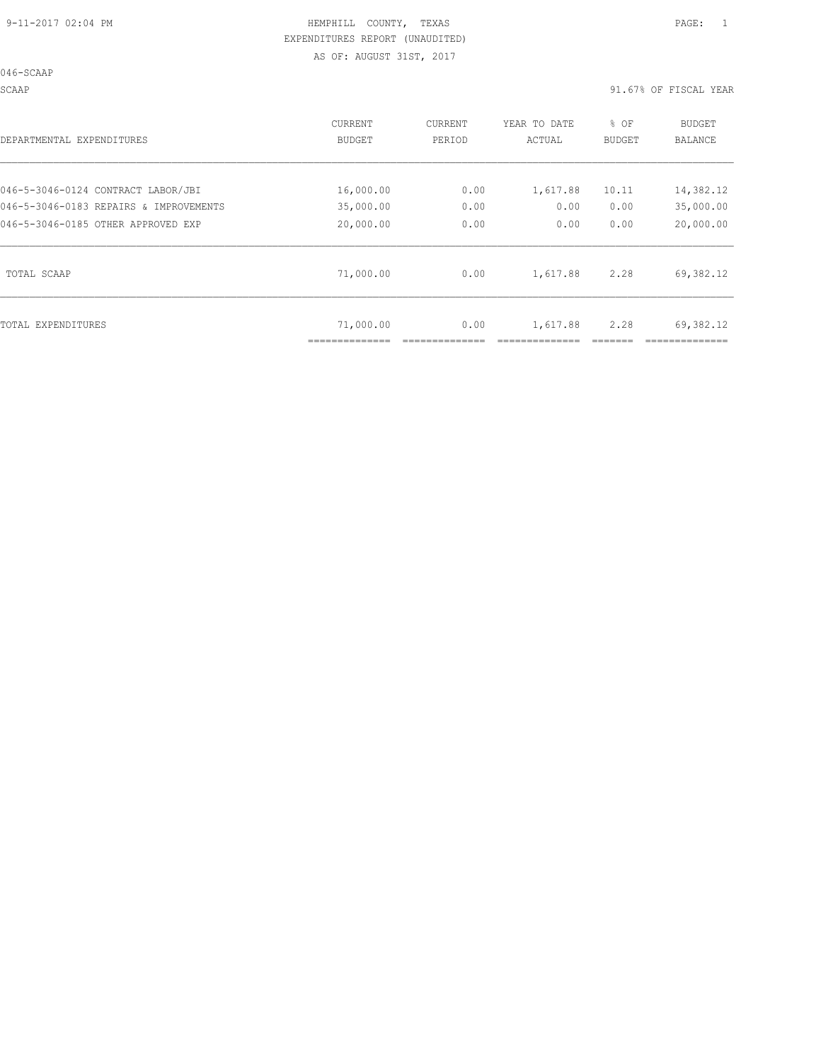046-SCAAP

SCAAP 91.67% OF FISCAL YEAR

| DEPARTMENTAL EXPENDITURES              | CURRENT<br>BUDGET | CURRENT<br>PERIOD | YEAR TO DATE<br>ACTUAL | % OF<br>BUDGET | <b>BUDGET</b><br>BALANCE |
|----------------------------------------|-------------------|-------------------|------------------------|----------------|--------------------------|
| 046-5-3046-0124 CONTRACT LABOR/JBI     | 16,000.00         | 0.00              | 1,617.88               | 10.11          | 14,382.12                |
| 046-5-3046-0183 REPAIRS & IMPROVEMENTS | 35,000.00         | 0.00              | 0.00                   | 0.00           | 35,000.00                |
| 046-5-3046-0185 OTHER APPROVED EXP     | 20,000.00         | 0.00              | 0.00                   | 0.00           | 20,000.00                |
| TOTAL SCAAP                            | 71,000.00         | 0.00              | 1,617.88               | 2.28           | 69,382.12                |
| TOTAL EXPENDITURES                     | 71,000.00         | 0.00              | 1,617.88               | 2.28           | 69,382.12                |